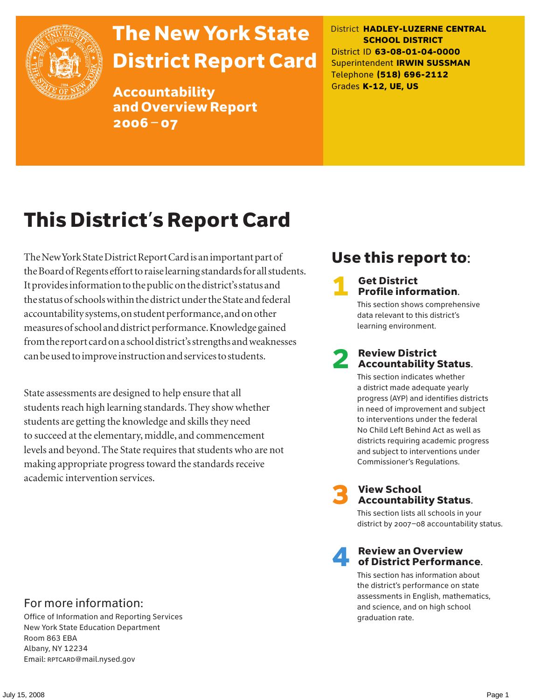

# The New York State District Report Card

Accountability and Overview Report 2006–07

District **HADLEY-LUZERNE CENTRAL SCHOOL DISTRICT** District ID **63-08-01-04-0000** Superintendent **IRWIN SUSSMAN** Telephone **(518) 696-2112** Grades **K-12, UE, US**

# This District's Report Card

The New York State District Report Card is an important part of the Board of Regents effort to raise learning standards for all students. It provides information to the public on the district's status and the status of schools within the district under the State and federal accountability systems, on student performance, and on other measures of school and district performance. Knowledge gained from the report card on a school district's strengths and weaknesses can be used to improve instruction and services to students.

State assessments are designed to help ensure that all students reach high learning standards. They show whether students are getting the knowledge and skills they need to succeed at the elementary, middle, and commencement levels and beyond. The State requires that students who are not making appropriate progress toward the standards receive academic intervention services.

# Use this report to:

#### **Get District** Profile information.

This section shows comprehensive data relevant to this district's learning environment.

#### **Review District** Accountability Status.

This section indicates whether a district made adequate yearly progress (AYP) and identifies districts in need of improvement and subject to interventions under the federal No Child Left Behind Act as well as districts requiring academic progress and subject to interventions under Commissioner's Regulations.



# **3** View School<br>Accountability Status.

This section lists all schools in your district by 2007–08 accountability status.

#### **Review an Overview** of District Performance.

This section has information about the district's performance on state assessments in English, mathematics, and science, and on high school graduation rate.

#### For more information:

Office of Information and Reporting Services New York State Education Department Room 863 EBA Albany, NY 12234 Email: RPTCARD@mail.nysed.gov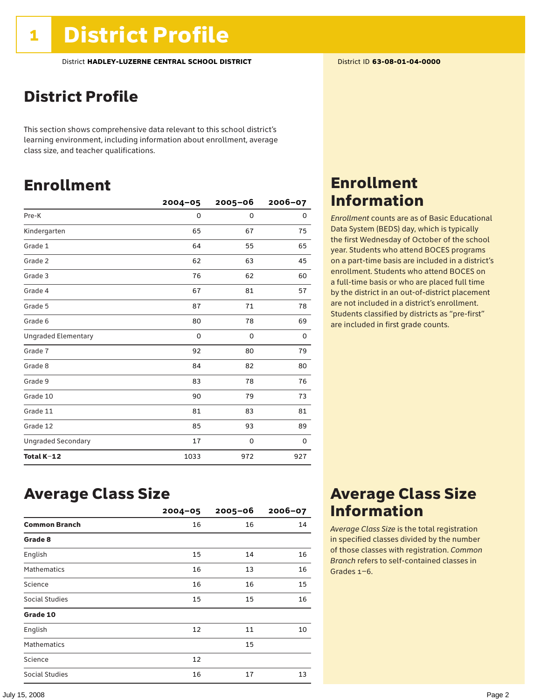## District Profile

This section shows comprehensive data relevant to this school district's learning environment, including information about enrollment, average class size, and teacher qualifications.

## Enrollment

|                            | $2004 - 05$ | 2005-06     | $2006 - 07$ |
|----------------------------|-------------|-------------|-------------|
| Pre-K                      | 0           | $\mathbf 0$ | 0           |
| Kindergarten               | 65          | 67          | 75          |
| Grade 1                    | 64          | 55          | 65          |
| Grade 2                    | 62          | 63          | 45          |
| Grade 3                    | 76          | 62          | 60          |
| Grade 4                    | 67          | 81          | 57          |
| Grade 5                    | 87          | 71          | 78          |
| Grade 6                    | 80          | 78          | 69          |
| <b>Ungraded Elementary</b> | 0           | 0           | 0           |
| Grade 7                    | 92          | 80          | 79          |
| Grade 8                    | 84          | 82          | 80          |
| Grade 9                    | 83          | 78          | 76          |
| Grade 10                   | 90          | 79          | 73          |
| Grade 11                   | 81          | 83          | 81          |
| Grade 12                   | 85          | 93          | 89          |
| <b>Ungraded Secondary</b>  | 17          | 0           | 0           |
| Total K-12                 | 1033        | 972         | 927         |

## Enrollment Information

*Enrollment* counts are as of Basic Educational Data System (BEDS) day, which is typically the first Wednesday of October of the school year. Students who attend BOCES programs on a part-time basis are included in a district's enrollment. Students who attend BOCES on a full-time basis or who are placed full time by the district in an out-of-district placement are not included in a district's enrollment. Students classified by districts as "pre-first" are included in first grade counts.

### Average Class Size

|                      | $2004 - 05$ | $2005 - 06$ | $2006 - 07$ |
|----------------------|-------------|-------------|-------------|
| <b>Common Branch</b> | 16          | 16          | 14          |
| Grade 8              |             |             |             |
| English              | 15          | 14          | 16          |
| <b>Mathematics</b>   | 16          | 13          | 16          |
| Science              | 16          | 16          | 15          |
| Social Studies       | 15          | 15          | 16          |
| Grade 10             |             |             |             |
| English              | 12          | 11          | 10          |
| <b>Mathematics</b>   |             | 15          |             |
| Science              | 12          |             |             |
| Social Studies       | 16          | 17          | 13          |

# Average Class Size Information

*Average Class Size* is the total registration in specified classes divided by the number of those classes with registration. *Common Branch* refers to self-contained classes in Grades 1–6.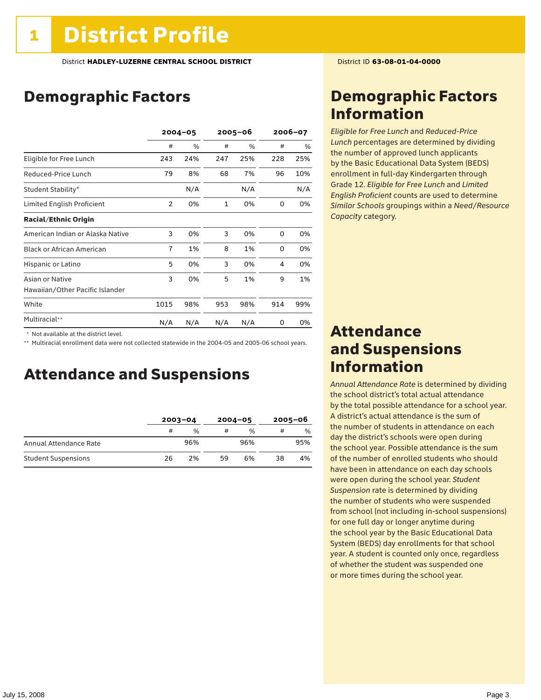# Demographic Factors

|                                   | $2004 - 05$    |     | 2005-06      |      | 2006-07  |     |
|-----------------------------------|----------------|-----|--------------|------|----------|-----|
|                                   | #              | %   | #            | $\%$ | #        | %   |
| Eligible for Free Lunch           | 243            | 24% | 247          | 25%  | 228      | 25% |
| Reduced-Price Lunch               | 79             | 8%  | 68           | 7%   | 96       | 10% |
| Student Stability*                |                | N/A |              | N/A  |          | N/A |
| <b>Limited English Proficient</b> | $\overline{2}$ | 0%  | $\mathbf{1}$ | 0%   | 0        | 0%  |
| <b>Racial/Ethnic Origin</b>       |                |     |              |      |          |     |
| American Indian or Alaska Native  | 3              | 0%  | 3            | 0%   | $\Omega$ | 0%  |
| <b>Black or African American</b>  | $\overline{7}$ | 1%  | 8            | 1%   | 0        | 0%  |
| Hispanic or Latino                | 5              | 0%  | 3            | 0%   | 4        | 0%  |
| Asian or Native                   | 3              | 0%  | 5            | 1%   | 9        | 1%  |
| Hawaiian/Other Pacific Islander   |                |     |              |      |          |     |
| White                             | 1015           | 98% | 953          | 98%  | 914      | 99% |
| Multiracial**                     | N/A            | N/A | N/A          | N/A  | 0        | 0%  |

 \* Not available at the district level.

\*\* Multiracial enrollment data were not collected statewide in the 2004-05 and 2005-06 school years.

### Attendance and Suspensions

|                            | $2003 - 04$ |               | $2004 - 05$ |               | $2005 - 06$ |     |
|----------------------------|-------------|---------------|-------------|---------------|-------------|-----|
|                            | #           | $\frac{0}{0}$ | #           | $\frac{0}{0}$ | #           | %   |
| Annual Attendance Rate     |             | 96%           |             | 96%           |             | 95% |
| <b>Student Suspensions</b> | 26          | 2%            | 59          | 6%            | 38          | 4%  |

# Demographic Factors Information

*Eligible for Free Lunch* and *Reduced*-*Price Lunch* percentages are determined by dividing the number of approved lunch applicants by the Basic Educational Data System (BEDS) enrollment in full-day Kindergarten through Grade 12. *Eligible for Free Lunch* and *Limited English Proficient* counts are used to determine *Similar Schools* groupings within a *Need*/*Resource Capacity* category.

### Attendance and Suspensions Information

*Annual Attendance Rate* is determined by dividing the school district's total actual attendance by the total possible attendance for a school year. A district's actual attendance is the sum of the number of students in attendance on each day the district's schools were open during the school year. Possible attendance is the sum of the number of enrolled students who should have been in attendance on each day schools were open during the school year. *Student Suspension* rate is determined by dividing the number of students who were suspended from school (not including in-school suspensions) for one full day or longer anytime during the school year by the Basic Educational Data System (BEDS) day enrollments for that school year. A student is counted only once, regardless of whether the student was suspended one or more times during the school year.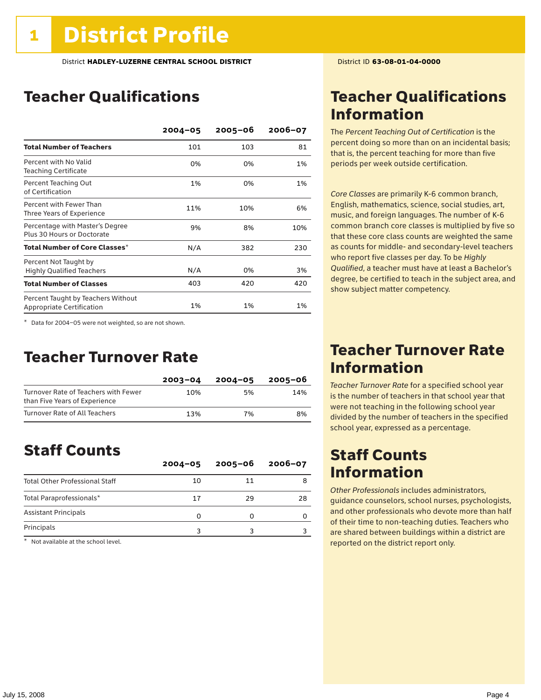# Teacher Qualifications

|                                                                 | $2004 - 05$ | $2005 - 06$ | $2006 - 07$ |
|-----------------------------------------------------------------|-------------|-------------|-------------|
| <b>Total Number of Teachers</b>                                 | 101         | 103         | 81          |
| Percent with No Valid<br><b>Teaching Certificate</b>            | 0%          | 0%          | 1%          |
| Percent Teaching Out<br>of Certification                        | 1%          | 0%          | 1%          |
| Percent with Fewer Than<br>Three Years of Experience            | 11%         | 10%         | 6%          |
| Percentage with Master's Degree<br>Plus 30 Hours or Doctorate   | 9%          | 8%          | 10%         |
| Total Number of Core Classes $^\star$                           | N/A         | 382         | 230         |
| Percent Not Taught by<br><b>Highly Qualified Teachers</b>       | N/A         | 0%          | 3%          |
| <b>Total Number of Classes</b>                                  | 403         | 420         | 420         |
| Percent Taught by Teachers Without<br>Appropriate Certification | 1%          | 1%          | 1%          |

\* Data for 2004–05 were not weighted, so are not shown.

### Teacher Turnover Rate

|                                                                       | $2003 - 04$ | $2004 - 05$ | 2005-06 |
|-----------------------------------------------------------------------|-------------|-------------|---------|
| Turnover Rate of Teachers with Fewer<br>than Five Years of Experience | 10%         | 5%          | 14%     |
| Turnover Rate of All Teachers                                         | 13%         | 7%          | 8%      |

## Staff Counts

|                                       | $2004 - 05$ | $2005 - 06$ | $2006 - 07$ |
|---------------------------------------|-------------|-------------|-------------|
| <b>Total Other Professional Staff</b> | 10          | 11          |             |
| Total Paraprofessionals*              | 17          | 29          | 28          |
| <b>Assistant Principals</b>           |             |             |             |
| Principals                            |             |             |             |

\* Not available at the school level.

# Teacher Qualifications Information

The *Percent Teaching Out of Certification* is the percent doing so more than on an incidental basis; that is, the percent teaching for more than five periods per week outside certification.

*Core Classes* are primarily K-6 common branch, English, mathematics, science, social studies, art, music, and foreign languages. The number of K-6 common branch core classes is multiplied by five so that these core class counts are weighted the same as counts for middle- and secondary-level teachers who report five classes per day. To be *Highly Qualified*, a teacher must have at least a Bachelor's degree, be certified to teach in the subject area, and show subject matter competency.

### Teacher Turnover Rate Information

*Teacher Turnover Rate* for a specified school year is the number of teachers in that school year that were not teaching in the following school year divided by the number of teachers in the specified school year, expressed as a percentage.

# Staff Counts Information

*Other Professionals* includes administrators, guidance counselors, school nurses, psychologists, and other professionals who devote more than half of their time to non-teaching duties. Teachers who are shared between buildings within a district are reported on the district report only.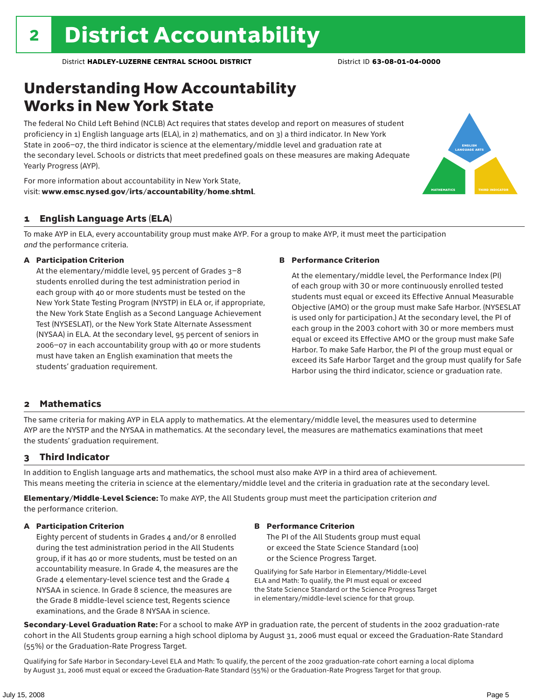# Understanding How Accountability Works in New York State

The federal No Child Left Behind (NCLB) Act requires that states develop and report on measures of student proficiency in 1) English language arts (ELA), in 2) mathematics, and on 3) a third indicator. In New York State in 2006–07, the third indicator is science at the elementary/middle level and graduation rate at the secondary level. Schools or districts that meet predefined goals on these measures are making Adequate Yearly Progress (AYP).



For more information about accountability in New York State, visit: www.emsc.nysed.gov/irts/accountability/home.shtml.

#### 1 English Language Arts (ELA)

To make AYP in ELA, every accountability group must make AYP. For a group to make AYP, it must meet the participation *and* the performance criteria.

#### A Participation Criterion

At the elementary/middle level, 95 percent of Grades 3–8 students enrolled during the test administration period in each group with 40 or more students must be tested on the New York State Testing Program (NYSTP) in ELA or, if appropriate, the New York State English as a Second Language Achievement Test (NYSESLAT), or the New York State Alternate Assessment (NYSAA) in ELA. At the secondary level, 95 percent of seniors in 2006–07 in each accountability group with 40 or more students must have taken an English examination that meets the students' graduation requirement.

#### B Performance Criterion

At the elementary/middle level, the Performance Index (PI) of each group with 30 or more continuously enrolled tested students must equal or exceed its Effective Annual Measurable Objective (AMO) or the group must make Safe Harbor. (NYSESLAT is used only for participation.) At the secondary level, the PI of each group in the 2003 cohort with 30 or more members must equal or exceed its Effective AMO or the group must make Safe Harbor. To make Safe Harbor, the PI of the group must equal or exceed its Safe Harbor Target and the group must qualify for Safe Harbor using the third indicator, science or graduation rate.

#### 2 Mathematics

The same criteria for making AYP in ELA apply to mathematics. At the elementary/middle level, the measures used to determine AYP are the NYSTP and the NYSAA in mathematics. At the secondary level, the measures are mathematics examinations that meet the students' graduation requirement.

#### 3 Third Indicator

In addition to English language arts and mathematics, the school must also make AYP in a third area of achievement. This means meeting the criteria in science at the elementary/middle level and the criteria in graduation rate at the secondary level.

Elementary/Middle-Level Science: To make AYP, the All Students group must meet the participation criterion *and* the performance criterion.

#### A Participation Criterion

Eighty percent of students in Grades 4 and/or 8 enrolled during the test administration period in the All Students group, if it has 40 or more students, must be tested on an accountability measure. In Grade 4, the measures are the Grade 4 elementary-level science test and the Grade 4 NYSAA in science. In Grade 8 science, the measures are the Grade 8 middle-level science test, Regents science examinations, and the Grade 8 NYSAA in science.

#### B Performance Criterion

The PI of the All Students group must equal or exceed the State Science Standard (100) or the Science Progress Target.

Qualifying for Safe Harbor in Elementary/Middle-Level ELA and Math: To qualify, the PI must equal or exceed the State Science Standard or the Science Progress Target in elementary/middle-level science for that group.

Secondary-Level Graduation Rate: For a school to make AYP in graduation rate, the percent of students in the 2002 graduation-rate cohort in the All Students group earning a high school diploma by August 31, 2006 must equal or exceed the Graduation-Rate Standard (55%) or the Graduation-Rate Progress Target.

Qualifying for Safe Harbor in Secondary-Level ELA and Math: To qualify, the percent of the 2002 graduation-rate cohort earning a local diploma by August 31, 2006 must equal or exceed the Graduation-Rate Standard (55%) or the Graduation-Rate Progress Target for that group.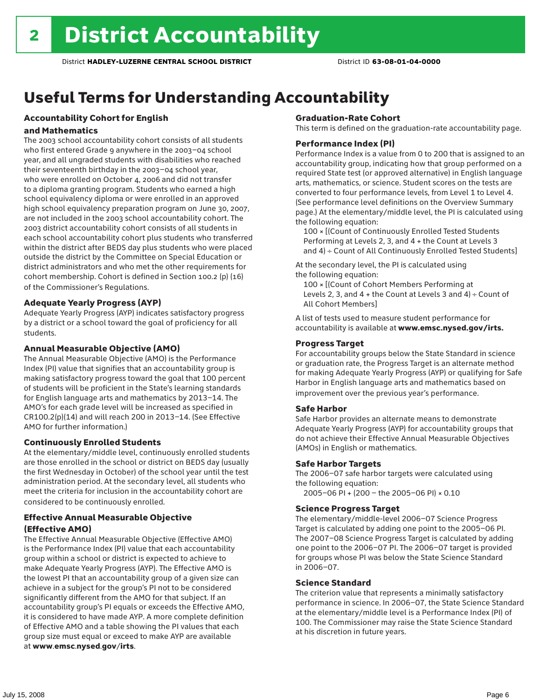# Useful Terms for Understanding Accountability

### Accountability Cohort for English

#### and Mathematics

The 2003 school accountability cohort consists of all students who first entered Grade 9 anywhere in the 2003–04 school year, and all ungraded students with disabilities who reached their seventeenth birthday in the 2003–04 school year, who were enrolled on October 4, 2006 and did not transfer to a diploma granting program. Students who earned a high school equivalency diploma or were enrolled in an approved high school equivalency preparation program on June 30, 2007, are not included in the 2003 school accountability cohort. The 2003 district accountability cohort consists of all students in each school accountability cohort plus students who transferred within the district after BEDS day plus students who were placed outside the district by the Committee on Special Education or district administrators and who met the other requirements for cohort membership. Cohort is defined in Section 100.2 (p) (16) of the Commissioner's Regulations.

#### Adequate Yearly Progress (AYP)

Adequate Yearly Progress (AYP) indicates satisfactory progress by a district or a school toward the goal of proficiency for all students.

#### Annual Measurable Objective (AMO)

The Annual Measurable Objective (AMO) is the Performance Index (PI) value that signifies that an accountability group is making satisfactory progress toward the goal that 100 percent of students will be proficient in the State's learning standards for English language arts and mathematics by 2013–14. The AMO's for each grade level will be increased as specified in CR100.2(p)(14) and will reach 200 in 2013–14. (See Effective AMO for further information.)

#### Continuously Enrolled Students

At the elementary/middle level, continuously enrolled students are those enrolled in the school or district on BEDS day (usually the first Wednesday in October) of the school year until the test administration period. At the secondary level, all students who meet the criteria for inclusion in the accountability cohort are considered to be continuously enrolled.

#### Effective Annual Measurable Objective (Effective AMO)

The Effective Annual Measurable Objective (Effective AMO) is the Performance Index (PI) value that each accountability group within a school or district is expected to achieve to make Adequate Yearly Progress (AYP). The Effective AMO is the lowest PI that an accountability group of a given size can achieve in a subject for the group's PI not to be considered significantly different from the AMO for that subject. If an accountability group's PI equals or exceeds the Effective AMO, it is considered to have made AYP. A more complete definition of Effective AMO and a table showing the PI values that each group size must equal or exceed to make AYP are available at www.emsc.nysed.gov/irts.

#### Graduation-Rate Cohort

This term is defined on the graduation-rate accountability page.

#### Performance Index (PI)

Performance Index is a value from 0 to 200 that is assigned to an accountability group, indicating how that group performed on a required State test (or approved alternative) in English language arts, mathematics, or science. Student scores on the tests are converted to four performance levels, from Level 1 to Level 4. (See performance level definitions on the Overview Summary page.) At the elementary/middle level, the PI is calculated using the following equation:

100 × [(Count of Continuously Enrolled Tested Students Performing at Levels 2, 3, and 4 + the Count at Levels 3 and 4) ÷ Count of All Continuously Enrolled Tested Students]

At the secondary level, the PI is calculated using the following equation:

100 × [(Count of Cohort Members Performing at Levels 2, 3, and  $4 +$  the Count at Levels 3 and  $4$ ) ÷ Count of All Cohort Members]

A list of tests used to measure student performance for accountability is available at www.emsc.nysed.gov/irts.

#### Progress Target

For accountability groups below the State Standard in science or graduation rate, the Progress Target is an alternate method for making Adequate Yearly Progress (AYP) or qualifying for Safe Harbor in English language arts and mathematics based on improvement over the previous year's performance.

#### Safe Harbor

Safe Harbor provides an alternate means to demonstrate Adequate Yearly Progress (AYP) for accountability groups that do not achieve their Effective Annual Measurable Objectives (AMOs) in English or mathematics.

#### Safe Harbor Targets

The 2006–07 safe harbor targets were calculated using the following equation:

2005–06 PI + (200 – the 2005–06 PI) × 0.10

#### Science Progress Target

The elementary/middle-level 2006–07 Science Progress Target is calculated by adding one point to the 2005–06 PI. The 2007–08 Science Progress Target is calculated by adding one point to the 2006–07 PI. The 2006–07 target is provided for groups whose PI was below the State Science Standard in 2006–07.

#### Science Standard

The criterion value that represents a minimally satisfactory performance in science. In 2006–07, the State Science Standard at the elementary/middle level is a Performance Index (PI) of 100. The Commissioner may raise the State Science Standard at his discretion in future years.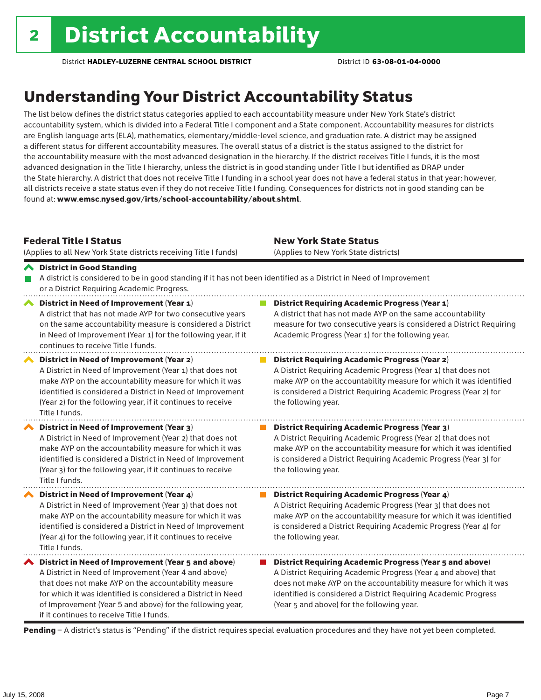# Understanding Your District Accountability Status

The list below defines the district status categories applied to each accountability measure under New York State's district accountability system, which is divided into a Federal Title I component and a State component. Accountability measures for districts are English language arts (ELA), mathematics, elementary/middle-level science, and graduation rate. A district may be assigned a different status for different accountability measures. The overall status of a district is the status assigned to the district for the accountability measure with the most advanced designation in the hierarchy. If the district receives Title I funds, it is the most advanced designation in the Title I hierarchy, unless the district is in good standing under Title I but identified as DRAP under the State hierarchy. A district that does not receive Title I funding in a school year does not have a federal status in that year; however, all districts receive a state status even if they do not receive Title I funding. Consequences for districts not in good standing can be found at: www.emsc.nysed.gov/irts/school-accountability/about.shtml.

#### Federal Title I Status

District in Good Standing

(Applies to all New York State districts receiving Title I funds)

New York State Status (Applies to New York State districts)

**District Requiring Academic Progress (Year 2)** 

the following year.

A District Requiring Academic Progress (Year 1) that does not make AYP on the accountability measure for which it was identified is considered a District Requiring Academic Progress (Year 2) for

A District Requiring Academic Progress (Year 2) that does not

#### A district is considered to be in good standing if it has not been identified as a District in Need of Improvement or a District Requiring Academic Progress. ◆ District in Need of Improvement (Year 1) **District Requiring Academic Progress (Year 1)** A district that has not made AYP for two consecutive years A district that has not made AYP on the same accountability on the same accountability measure is considered a District measure for two consecutive years is considered a District Requiring in Need of Improvement (Year 1) for the following year, if it Academic Progress (Year 1) for the following year. continues to receive Title I funds.

District in Need of Improvement (Year 2) A District in Need of Improvement (Year 1) that does not make AYP on the accountability measure for which it was identified is considered a District in Need of Improvement (Year 2) for the following year, if it continues to receive Title I funds.

#### District in Need of Improvement (Year 3)  $\mathcal{L}_{\mathcal{A}}$ District Requiring Academic Progress (Year 3) A District in Need of Improvement (Year 2) that does not make AYP on the accountability measure for which it was identified is considered a District in Need of Improvement (Year 3) for the following year, if it continues to receive Title I funds.

◆ District in Need of Improvement (Year 4) A District in Need of Improvement (Year 3) that does not make AYP on the accountability measure for which it was identified is considered a District in Need of Improvement (Year 4) for the following year, if it continues to receive Title I funds.

 $\blacktriangle$  District in Need of Improvement (Year 5 and above) A District in Need of Improvement (Year 4 and above) that does not make AYP on the accountability measure for which it was identified is considered a District in Need of Improvement (Year 5 and above) for the following year, if it continues to receive Title I funds.

make AYP on the accountability measure for which it was identified is considered a District Requiring Academic Progress (Year 3) for the following year. **District Requiring Academic Progress (Year 4)** 

A District Requiring Academic Progress (Year 3) that does not make AYP on the accountability measure for which it was identified is considered a District Requiring Academic Progress (Year 4) for the following year.

■ District Requiring Academic Progress (Year 5 and above) A District Requiring Academic Progress (Year 4 and above) that does not make AYP on the accountability measure for which it was identified is considered a District Requiring Academic Progress (Year 5 and above) for the following year.

Pending - A district's status is "Pending" if the district requires special evaluation procedures and they have not yet been completed.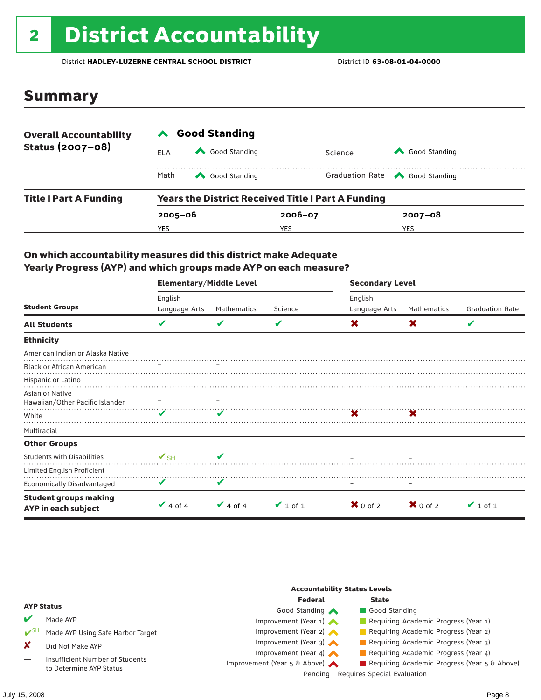# <sup>2</sup> District Accountability

District **HADLEY-LUZERNE CENTRAL SCHOOL DISTRICT** District ID **63-08-01-04-0000**

### Summary

| <b>Overall Accountability</b><br>Status (2007-08) | <b>Good Standing</b> |                                                           |             |         |                                       |  |  |
|---------------------------------------------------|----------------------|-----------------------------------------------------------|-------------|---------|---------------------------------------|--|--|
|                                                   | ELA                  | Good Standing                                             |             | Science | Good Standing                         |  |  |
|                                                   | Math                 | Good Standing                                             |             |         | Graduation Rate <a> Good Standing</a> |  |  |
| <b>Title I Part A Funding</b>                     |                      | <b>Years the District Received Title I Part A Funding</b> |             |         |                                       |  |  |
|                                                   | $2005 - 06$          |                                                           | $2006 - 07$ |         | $2007 - 08$                           |  |  |
|                                                   | YES                  |                                                           | YES         |         | <b>YES</b>                            |  |  |

#### On which accountability measures did this district make Adequate Yearly Progress (AYP) and which groups made AYP on each measure?

|                                                     | <b>Elementary/Middle Level</b> |               |               | <b>Secondary Level</b> |                     |                        |  |
|-----------------------------------------------------|--------------------------------|---------------|---------------|------------------------|---------------------|------------------------|--|
|                                                     | English                        |               |               | English                |                     |                        |  |
| <b>Student Groups</b>                               | Language Arts                  | Mathematics   | Science       | Language Arts          | Mathematics         | <b>Graduation Rate</b> |  |
| <b>All Students</b>                                 | V                              | V             | V             | X                      | X                   | V                      |  |
| <b>Ethnicity</b>                                    |                                |               |               |                        |                     |                        |  |
| American Indian or Alaska Native                    |                                |               |               |                        |                     |                        |  |
| <b>Black or African American</b>                    |                                |               |               |                        |                     |                        |  |
| Hispanic or Latino                                  |                                |               |               |                        |                     |                        |  |
| Asian or Native<br>Hawaiian/Other Pacific Islander  |                                |               |               |                        |                     |                        |  |
| White                                               | v                              |               |               | X                      | X                   |                        |  |
| Multiracial                                         |                                |               |               |                        |                     |                        |  |
| <b>Other Groups</b>                                 |                                |               |               |                        |                     |                        |  |
| <b>Students with Disabilities</b>                   | $\mathbf{V}_{\text{SH}}$       | ✔             |               |                        |                     |                        |  |
| Limited English Proficient                          |                                |               |               |                        |                     |                        |  |
| <b>Economically Disadvantaged</b>                   | v                              | V             |               |                        |                     |                        |  |
| <b>Student groups making</b><br>AYP in each subject | $\vee$ 4 of 4                  | $\vee$ 4 of 4 | $\vee$ 1 of 1 | $\mathbf{X}$ 0 of 2    | $\mathbf{X}$ 0 of 2 | $\vee$ 1 of 1          |  |

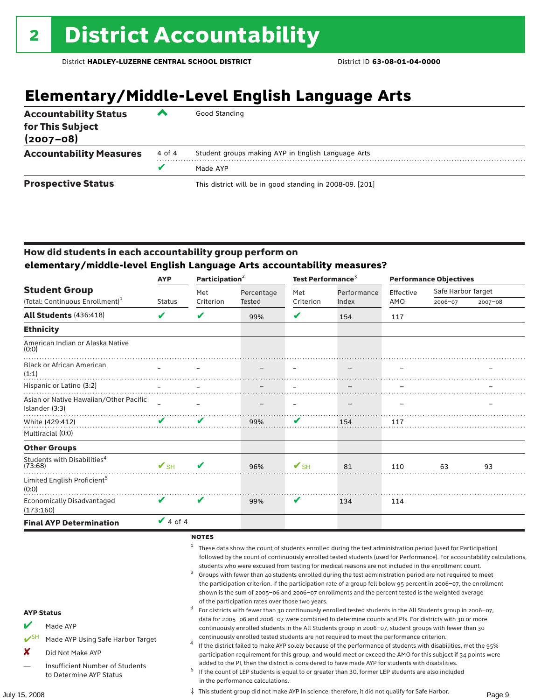# **Elementary/Middle-Level English Language Arts**

| <b>Accountability Status</b><br>for This Subject<br>$(2007 - 08)$ | ▰      | Good Standing                                            |
|-------------------------------------------------------------------|--------|----------------------------------------------------------|
| <b>Accountability Measures</b>                                    | 4 of 4 | Student groups making AYP in English Language Arts       |
|                                                                   |        | Made AYP                                                 |
| <b>Prospective Status</b>                                         |        | This district will be in good standing in 2008-09. [201] |

#### How did students in each accountability group perform on **elementary/middle-level English Language Arts accountability measures?**

|                                                          | Participation <sup>2</sup><br><b>AYP</b> |           |               | Test Performance <sup>3</sup> |       | <b>Performance Objectives</b> |           |                    |  |
|----------------------------------------------------------|------------------------------------------|-----------|---------------|-------------------------------|-------|-------------------------------|-----------|--------------------|--|
| <b>Student Group</b>                                     |                                          |           | Met           | Percentage                    | Met   | Performance                   | Effective | Safe Harbor Target |  |
| (Total: Continuous Enrollment) <sup>1</sup>              | <b>Status</b>                            | Criterion | <b>Tested</b> | Criterion                     | Index | AMO                           | 2006-07   | $2007 - 08$        |  |
| <b>All Students (436:418)</b>                            | V                                        | ✔         | 99%           | V                             | 154   | 117                           |           |                    |  |
| <b>Ethnicity</b>                                         |                                          |           |               |                               |       |                               |           |                    |  |
| American Indian or Alaska Native<br>(0:0)                |                                          |           |               |                               |       |                               |           |                    |  |
| <b>Black or African American</b><br>(1:1)                |                                          |           |               |                               |       |                               |           |                    |  |
| Hispanic or Latino (3:2)                                 | $\equiv$                                 |           |               |                               |       |                               |           |                    |  |
| Asian or Native Hawaiian/Other Pacific<br>Islander (3:3) |                                          |           |               |                               |       |                               |           |                    |  |
| White (429:412)                                          | .                                        | V         | 99%           | V                             | 154   | 117                           |           |                    |  |
| Multiracial (0:0)                                        |                                          |           |               |                               |       |                               |           |                    |  |
| <b>Other Groups</b>                                      |                                          |           |               |                               |       |                               |           |                    |  |
| Students with Disabilities <sup>4</sup><br>(73:68)       | $\mathbf{V}_{\text{SH}}$                 | ✔         | 96%           | $\mathbf{V}_{\text{SH}}$      | 81    | 110                           | 63        | 93                 |  |
| Limited English Proficient <sup>5</sup><br>(0:0)         |                                          |           |               |                               |       |                               |           |                    |  |
| Economically Disadvantaged<br>(173:160)                  | V                                        | V         | 99%           | V                             | 134   | 114                           |           |                    |  |
| <b>Final AYP Determination</b>                           | $\vee$ 4 of 4                            |           |               |                               |       |                               |           |                    |  |

#### **NOTES**

<sup>1</sup> These data show the count of students enrolled during the test administration period (used for Participation) followed by the count of continuously enrolled tested students (used for Performance). For accountability calculations,

- students who were excused from testing for medical reasons are not included in the enrollment count.<br>2 Groups with fewer than 40 students enrolled during the test administration period are not required to meet the participation criterion. If the participation rate of a group fell below 95 percent in 2006–07, the enrollment shown is the sum of 2005–06 and 2006–07 enrollments and the percent tested is the weighted average
- of the participation rates over those two years.<br><sup>3</sup> For districts with fewer than 30 continuously enrolled tested students in the All Students group in 2006–07, data for 2005–06 and 2006–07 were combined to determine counts and PIs. For districts with 30 or more continuously enrolled students in the All Students group in 2006–07, student groups with fewer than 30
- continuously enrolled tested students are not required to meet the performance criterion. <sup>4</sup> If the district failed to make AYP solely because of the performance of students with disabilities, met the 95% participation requirement for this group, and would meet or exceed the AMO for this subject if 34 points were
- added to the PI, then the district is considered to have made AYP for students with disabilities.<br><sup>5</sup> If the count of LEP students is equal to or greater than 30, former LEP students are also included in the performance calculations.

#### AYP Status

- Made AYP
- ✔SH Made AYP Using Safe Harbor Target
- X Did Not Make AYP
- Insufficient Number of Students to Determine AYP Status

July 15, 2008 Page 9 ‡ This student group did not make AYP in science; therefore, it did not qualify for Safe Harbor.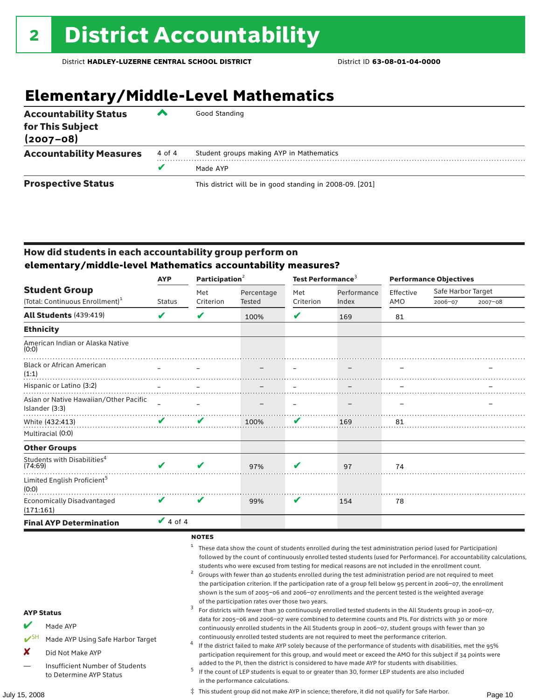# **Elementary/Middle-Level Mathematics**

| <b>Accountability Status</b><br>for This Subject<br>$(2007 - 08)$ | ▰      | Good Standing                                            |
|-------------------------------------------------------------------|--------|----------------------------------------------------------|
| <b>Accountability Measures</b>                                    | 4 of 4 | Student groups making AYP in Mathematics                 |
|                                                                   | v      | Made AYP                                                 |
| <b>Prospective Status</b>                                         |        | This district will be in good standing in 2008-09. [201] |

#### How did students in each accountability group perform on **elementary/middle-level Mathematics accountability measures?**

|                                                          | Participation <sup>2</sup><br><b>AYP</b> |           |               | Test Performance <sup>3</sup> |             | <b>Performance Objectives</b> |                    |             |
|----------------------------------------------------------|------------------------------------------|-----------|---------------|-------------------------------|-------------|-------------------------------|--------------------|-------------|
| <b>Student Group</b>                                     |                                          | Met       | Percentage    | Met                           | Performance | Effective                     | Safe Harbor Target |             |
| (Total: Continuous Enrollment) <sup>1</sup>              | <b>Status</b>                            | Criterion | <b>Tested</b> | Criterion                     | Index       | AMO                           | 2006-07            | $2007 - 08$ |
| <b>All Students (439:419)</b>                            | V                                        | V         | 100%          | V                             | 169         | 81                            |                    |             |
| <b>Ethnicity</b>                                         |                                          |           |               |                               |             |                               |                    |             |
| American Indian or Alaska Native<br>(0:0)                |                                          |           |               |                               |             |                               |                    |             |
| <b>Black or African American</b><br>(1:1)                |                                          |           |               |                               |             |                               |                    |             |
| Hispanic or Latino (3:2)                                 |                                          |           |               |                               |             |                               |                    |             |
| Asian or Native Hawaiian/Other Pacific<br>Islander (3:3) |                                          |           |               |                               |             |                               |                    |             |
| White (432:413)                                          | V                                        | V         | 100%          | V                             | 169         | 81                            |                    |             |
| Multiracial (0:0)                                        |                                          |           |               |                               |             |                               |                    |             |
| <b>Other Groups</b>                                      |                                          |           |               |                               |             |                               |                    |             |
| Students with Disabilities <sup>4</sup><br>(74:69)       | V                                        | ✔         | 97%           | V                             | 97          | 74                            |                    |             |
| Limited English Proficient <sup>5</sup><br>(0:0)         |                                          |           |               |                               |             |                               |                    |             |
| <b>Economically Disadvantaged</b><br>(171:161)           | V                                        | V         | 99%           | V                             | 154         | 78                            |                    |             |
| <b>Final AYP Determination</b>                           | $\sqrt{4}$ of 4                          |           |               |                               |             |                               |                    |             |

#### **NOTES**

<sup>1</sup> These data show the count of students enrolled during the test administration period (used for Participation) followed by the count of continuously enrolled tested students (used for Performance). For accountability calculations,

- students who were excused from testing for medical reasons are not included in the enrollment count.<br>2 Groups with fewer than 40 students enrolled during the test administration period are not required to meet the participation criterion. If the participation rate of a group fell below 95 percent in 2006–07, the enrollment shown is the sum of 2005–06 and 2006–07 enrollments and the percent tested is the weighted average
- of the participation rates over those two years.<br><sup>3</sup> For districts with fewer than 30 continuously enrolled tested students in the All Students group in 2006–07, data for 2005–06 and 2006–07 were combined to determine counts and PIs. For districts with 30 or more continuously enrolled students in the All Students group in 2006–07, student groups with fewer than 30
- continuously enrolled tested students are not required to meet the performance criterion. <sup>4</sup> If the district failed to make AYP solely because of the performance of students with disabilities, met the 95% participation requirement for this group, and would meet or exceed the AMO for this subject if 34 points were
- added to the PI, then the district is considered to have made AYP for students with disabilities.<br><sup>5</sup> If the count of LEP students is equal to or greater than 30, former LEP students are also included in the performance calculations.

AYP Status

Made AYP

X Did Not Make AYP

✔SH Made AYP Using Safe Harbor Target

Insufficient Number of Students to Determine AYP Status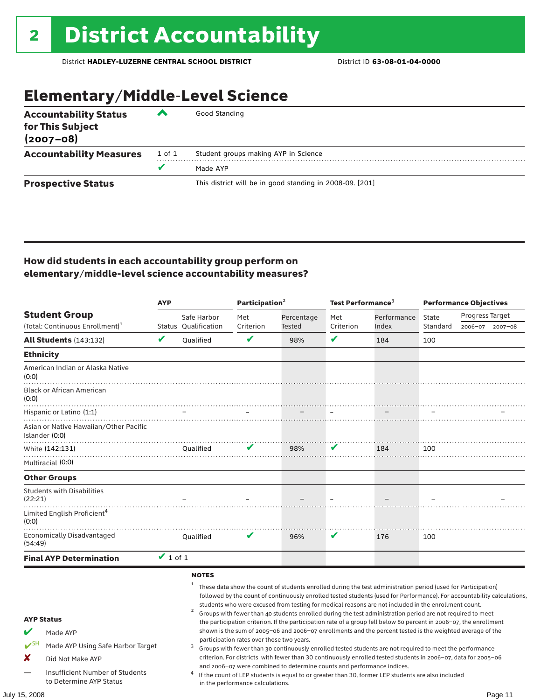# Elementary/Middle-Level Science

| <b>Accountability Status</b><br>for This Subject<br>$(2007 - 08)$ | ◚      | Good Standing                                            |
|-------------------------------------------------------------------|--------|----------------------------------------------------------|
| <b>Accountability Measures</b>                                    | 1 of 1 | Student groups making AYP in Science                     |
|                                                                   | v      | Made AYP                                                 |
| <b>Prospective Status</b>                                         |        | This district will be in good standing in 2008-09. [201] |

#### How did students in each accountability group perform on elementary/middle-level science accountability measures?

|                                                                                                           |                                                                             | <b>AYP</b>    |                                     | Participation <sup>2</sup>                                                    |                                                                        | Test Performance <sup>3</sup> |                                                                                                                                                                                                                                                                                                                                                                                                                                                                                                                                                                                                                                                                                                                                                                                                                                                                                                                                                                                                                                       | <b>Performance Objectives</b> |                 |             |
|-----------------------------------------------------------------------------------------------------------|-----------------------------------------------------------------------------|---------------|-------------------------------------|-------------------------------------------------------------------------------|------------------------------------------------------------------------|-------------------------------|---------------------------------------------------------------------------------------------------------------------------------------------------------------------------------------------------------------------------------------------------------------------------------------------------------------------------------------------------------------------------------------------------------------------------------------------------------------------------------------------------------------------------------------------------------------------------------------------------------------------------------------------------------------------------------------------------------------------------------------------------------------------------------------------------------------------------------------------------------------------------------------------------------------------------------------------------------------------------------------------------------------------------------------|-------------------------------|-----------------|-------------|
| <b>Student Group</b>                                                                                      |                                                                             |               | Safe Harbor                         | Met                                                                           | Percentage                                                             | Met                           | Performance                                                                                                                                                                                                                                                                                                                                                                                                                                                                                                                                                                                                                                                                                                                                                                                                                                                                                                                                                                                                                           | State                         | Progress Target |             |
| (Total: Continuous Enrollment) <sup>1</sup>                                                               |                                                                             |               | Status Qualification                | Criterion                                                                     | Tested                                                                 | Criterion                     | Index                                                                                                                                                                                                                                                                                                                                                                                                                                                                                                                                                                                                                                                                                                                                                                                                                                                                                                                                                                                                                                 | Standard                      | 2006-07         | $2007 - 08$ |
| <b>All Students (143:132)</b>                                                                             |                                                                             | V             | Qualified                           | V                                                                             | 98%                                                                    | $\mathbf{v}$                  | 184                                                                                                                                                                                                                                                                                                                                                                                                                                                                                                                                                                                                                                                                                                                                                                                                                                                                                                                                                                                                                                   | 100                           |                 |             |
| <b>Ethnicity</b>                                                                                          |                                                                             |               |                                     |                                                                               |                                                                        |                               |                                                                                                                                                                                                                                                                                                                                                                                                                                                                                                                                                                                                                                                                                                                                                                                                                                                                                                                                                                                                                                       |                               |                 |             |
| American Indian or Alaska Native<br>(0:0)                                                                 |                                                                             |               |                                     |                                                                               |                                                                        |                               |                                                                                                                                                                                                                                                                                                                                                                                                                                                                                                                                                                                                                                                                                                                                                                                                                                                                                                                                                                                                                                       |                               |                 |             |
| <b>Black or African American</b><br>(0:0)                                                                 |                                                                             |               |                                     |                                                                               |                                                                        |                               |                                                                                                                                                                                                                                                                                                                                                                                                                                                                                                                                                                                                                                                                                                                                                                                                                                                                                                                                                                                                                                       |                               |                 |             |
| Hispanic or Latino (1:1)                                                                                  |                                                                             |               |                                     |                                                                               |                                                                        |                               |                                                                                                                                                                                                                                                                                                                                                                                                                                                                                                                                                                                                                                                                                                                                                                                                                                                                                                                                                                                                                                       |                               |                 |             |
| Islander (0:0)                                                                                            | Asian or Native Hawaiian/Other Pacific                                      |               |                                     |                                                                               |                                                                        |                               |                                                                                                                                                                                                                                                                                                                                                                                                                                                                                                                                                                                                                                                                                                                                                                                                                                                                                                                                                                                                                                       |                               |                 |             |
| White (142:131)                                                                                           |                                                                             |               | <b>Oualified</b>                    | V                                                                             | 98%                                                                    | v                             | 184                                                                                                                                                                                                                                                                                                                                                                                                                                                                                                                                                                                                                                                                                                                                                                                                                                                                                                                                                                                                                                   | 100                           |                 |             |
| Multiracial (0:0)                                                                                         |                                                                             |               |                                     |                                                                               |                                                                        |                               |                                                                                                                                                                                                                                                                                                                                                                                                                                                                                                                                                                                                                                                                                                                                                                                                                                                                                                                                                                                                                                       |                               |                 |             |
| <b>Other Groups</b>                                                                                       |                                                                             |               |                                     |                                                                               |                                                                        |                               |                                                                                                                                                                                                                                                                                                                                                                                                                                                                                                                                                                                                                                                                                                                                                                                                                                                                                                                                                                                                                                       |                               |                 |             |
| <b>Students with Disabilities</b><br>(22:21)                                                              |                                                                             |               |                                     |                                                                               |                                                                        |                               |                                                                                                                                                                                                                                                                                                                                                                                                                                                                                                                                                                                                                                                                                                                                                                                                                                                                                                                                                                                                                                       |                               |                 |             |
| Limited English Proficient <sup>4</sup><br>(0:0)                                                          |                                                                             |               |                                     |                                                                               |                                                                        |                               |                                                                                                                                                                                                                                                                                                                                                                                                                                                                                                                                                                                                                                                                                                                                                                                                                                                                                                                                                                                                                                       |                               |                 |             |
| <b>Economically Disadvantaged</b><br>(54:49)                                                              |                                                                             |               | <b>Oualified</b>                    | V                                                                             | 96%                                                                    | V                             | 176                                                                                                                                                                                                                                                                                                                                                                                                                                                                                                                                                                                                                                                                                                                                                                                                                                                                                                                                                                                                                                   | 100                           |                 |             |
| <b>Final AYP Determination</b>                                                                            |                                                                             | $\vee$ 1 of 1 |                                     |                                                                               |                                                                        |                               |                                                                                                                                                                                                                                                                                                                                                                                                                                                                                                                                                                                                                                                                                                                                                                                                                                                                                                                                                                                                                                       |                               |                 |             |
| <b>AYP Status</b><br>V<br>Made AYP<br>$V^{\text{SH}}$<br>X<br>Did Not Make AYP<br>to Determine AYP Status | Made AYP Using Safe Harbor Target<br><b>Insufficient Number of Students</b> |               | <b>NOTES</b><br>$\overline{a}$<br>3 | participation rates over those two years.<br>in the performance calculations. | and 2006-07 were combined to determine counts and performance indices. |                               | These data show the count of students enrolled during the test administration period (used for Participation)<br>followed by the count of continuously enrolled tested students (used for Performance). For accountability calculations,<br>students who were excused from testing for medical reasons are not included in the enrollment count.<br>Groups with fewer than 40 students enrolled during the test administration period are not required to meet<br>the participation criterion. If the participation rate of a group fell below 80 percent in 2006-07, the enrollment<br>shown is the sum of 2005-06 and 2006-07 enrollments and the percent tested is the weighted average of the<br>Groups with fewer than 30 continuously enrolled tested students are not required to meet the performance<br>criterion. For districts with fewer than 30 continuously enrolled tested students in 2006-07, data for 2005-06<br>If the count of LEP students is equal to or greater than 30, former LEP students are also included |                               |                 |             |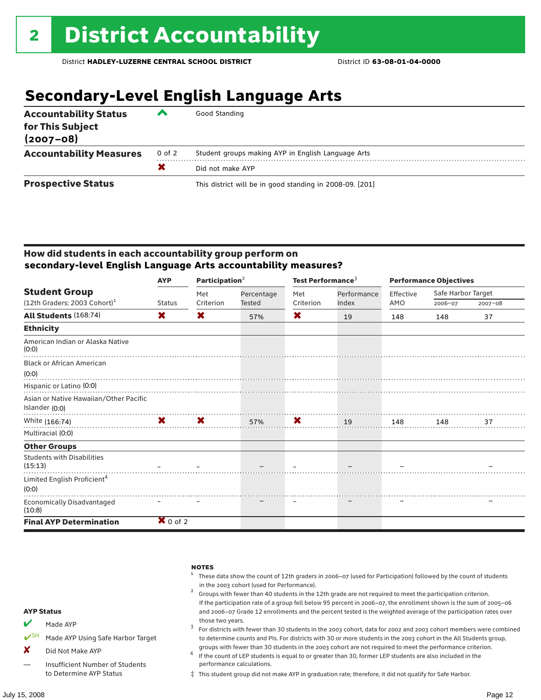# **Secondary-Level English Language Arts**

| <b>Accountability Status</b><br>for This Subject<br>$(2007 - 08)$ | ▰      | Good Standing                                            |
|-------------------------------------------------------------------|--------|----------------------------------------------------------|
| <b>Accountability Measures</b>                                    | 0 of 2 | Student groups making AYP in English Language Arts       |
|                                                                   |        | Did not make AYP                                         |
| <b>Prospective Status</b>                                         |        | This district will be in good standing in 2008-09. [201] |

#### How did students in each accountability group perform on **secondary-level English Language Arts accountability measures?**

|                                              | <b>AYP</b>          | Participation $2$ |                                            | Test Performance <sup>3</sup> |                                 | <b>Performance Objectives</b> |                    |             |  |
|----------------------------------------------|---------------------|-------------------|--------------------------------------------|-------------------------------|---------------------------------|-------------------------------|--------------------|-------------|--|
| <b>Student Group</b>                         |                     | Met               | Percentage                                 | Met                           | Performance                     | Effective                     | Safe Harbor Target |             |  |
| $(12th$ Graders: 2003 Cohort) <sup>1</sup>   | <b>Status</b>       | Criterion         | Tested                                     | Criterion                     | Index                           | AMO                           | 2006-07            | $2007 - 08$ |  |
| All Students (168:74)                        | X                   | X                 | 57%                                        | X                             | 19                              | 148                           | 148                | 37          |  |
| <b>Ethnicity</b>                             |                     |                   |                                            |                               |                                 |                               |                    |             |  |
| American Indian or Alaska Native<br>(0:0)    |                     |                   |                                            |                               |                                 |                               |                    |             |  |
| <b>Black or African American</b>             |                     |                   |                                            |                               |                                 |                               |                    |             |  |
| (0:0)                                        |                     |                   |                                            |                               |                                 |                               |                    |             |  |
| Hispanic or Latino (0:0)                     |                     |                   |                                            |                               |                                 |                               |                    |             |  |
| Asian or Native Hawaiian/Other Pacific       |                     |                   |                                            |                               |                                 |                               |                    |             |  |
| Islander (0:0)                               |                     |                   |                                            |                               |                                 |                               |                    |             |  |
| White $(166:74)$                             |                     |                   | $\mathbf{X}$ $\mathbf{X}$ 57% $\mathbf{X}$ |                               | $19 \t\t 148 \t\t 148 \t\t 148$ |                               |                    | 37          |  |
| Multiracial (0:0)                            |                     |                   |                                            |                               |                                 |                               |                    |             |  |
| <b>Other Groups</b>                          |                     |                   |                                            |                               |                                 |                               |                    |             |  |
| <b>Students with Disabilities</b><br>(15:13) |                     |                   |                                            |                               |                                 |                               |                    |             |  |
| Limited English Proficient <sup>4</sup>      |                     |                   |                                            |                               |                                 |                               |                    |             |  |
| (0:0)                                        |                     |                   |                                            |                               |                                 |                               |                    |             |  |
| <b>Economically Disadvantaged</b><br>(10:8)  |                     |                   |                                            |                               |                                 |                               |                    |             |  |
| <b>Final AYP Determination</b>               | $\mathbf{X}$ 0 of 2 |                   |                                            |                               |                                 |                               |                    |             |  |



‡ This student group did not make AYP in graduation rate; therefore, it did not qualify for Safe Harbor.

to Determine AYP Status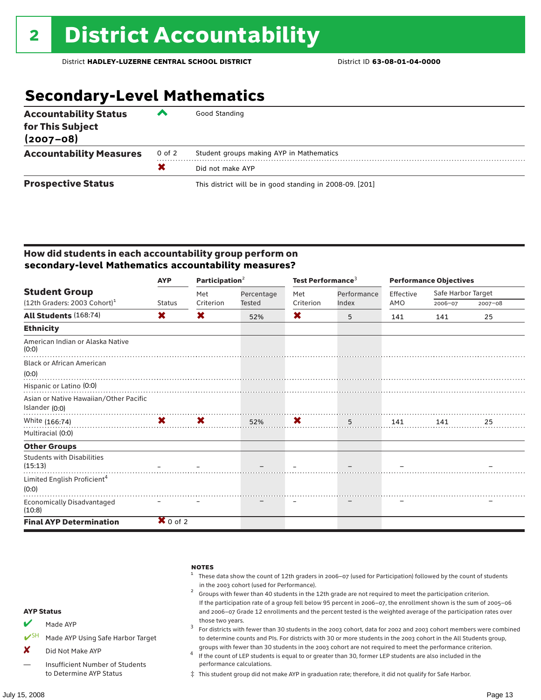# **Secondary-Level Mathematics**

| <b>Accountability Status</b><br>for This Subject<br>$(2007 - 08)$ | ‴      | Good Standing                                            |
|-------------------------------------------------------------------|--------|----------------------------------------------------------|
| <b>Accountability Measures</b>                                    | 0 of 2 | Student groups making AYP in Mathematics                 |
|                                                                   |        | Did not make AYP                                         |
| <b>Prospective Status</b>                                         |        | This district will be in good standing in 2008-09. [201] |

#### How did students in each accountability group perform on **secondary-level Mathematics accountability measures?**

|                                              | <b>AYP</b>                |           | Participation $2$   |           | Test Performance <sup>3</sup> | <b>Performance Objectives</b> |                    |             |  |
|----------------------------------------------|---------------------------|-----------|---------------------|-----------|-------------------------------|-------------------------------|--------------------|-------------|--|
| <b>Student Group</b>                         |                           | Met       | Percentage          | Met       | Performance                   | Effective                     | Safe Harbor Target |             |  |
| $(12th$ Graders: 2003 Cohort) <sup>1</sup>   | Status                    | Criterion | Tested              | Criterion | Index                         | AMO                           | 2006-07            | $2007 - 08$ |  |
| <b>All Students (168:74)</b>                 | X                         | X.        | 52%                 | X         | 5                             | 141                           | 141                | 25          |  |
| <b>Ethnicity</b>                             |                           |           |                     |           |                               |                               |                    |             |  |
| American Indian or Alaska Native<br>(0:0)    |                           |           |                     |           |                               |                               |                    |             |  |
| <b>Black or African American</b>             |                           |           |                     |           |                               |                               |                    |             |  |
| (0:0)                                        |                           |           |                     |           |                               |                               |                    |             |  |
| Hispanic or Latino (0:0)                     |                           |           |                     |           |                               |                               |                    |             |  |
| Asian or Native Hawaiian/Other Pacific       |                           |           |                     |           |                               |                               |                    |             |  |
| Islander (0:0)                               |                           |           |                     |           |                               |                               |                    |             |  |
| White (166:74)                               | $\mathsf{x}$ $\mathsf{x}$ |           | $52\%$ $\mathsf{X}$ |           | $\frac{5}{141}$ 141 141       |                               |                    | 25          |  |
| Multiracial (0:0)                            |                           |           |                     |           |                               |                               |                    |             |  |
| <b>Other Groups</b>                          |                           |           |                     |           |                               |                               |                    |             |  |
| <b>Students with Disabilities</b><br>(15:13) |                           |           |                     |           |                               |                               |                    |             |  |
| Limited English Proficient <sup>4</sup>      |                           |           |                     |           |                               |                               |                    |             |  |
| (0:0)                                        |                           |           |                     |           |                               |                               |                    |             |  |
| <b>Economically Disadvantaged</b><br>(10:8)  |                           |           |                     |           |                               |                               |                    |             |  |
| <b>Final AYP Determination</b>               | $\mathbf{X}$ 0 of 2       |           |                     |           |                               |                               |                    |             |  |



‡ This student group did not make AYP in graduation rate; therefore, it did not qualify for Safe Harbor.

to Determine AYP Status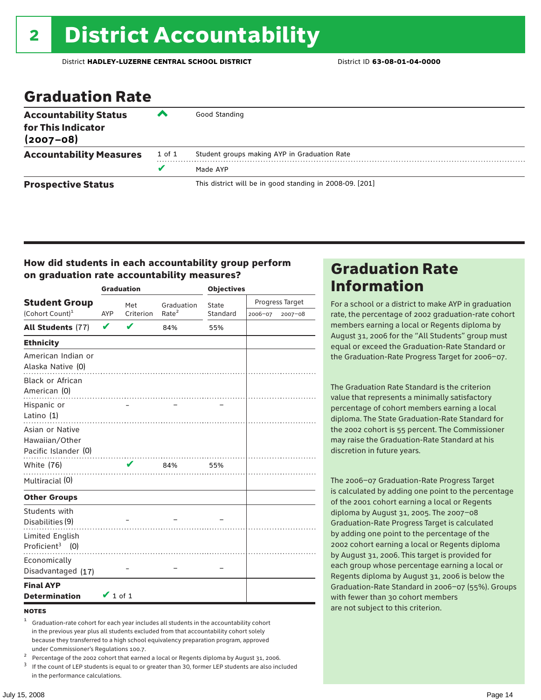# Graduation Rate

| <b>Accountability Status</b><br>for This Indicator<br>$(2007 - 08)$ | $\overline{\phantom{a}}$ | Good Standing                                            |
|---------------------------------------------------------------------|--------------------------|----------------------------------------------------------|
| <b>Accountability Measures</b>                                      | 1 of 1                   | Student groups making AYP in Graduation Rate             |
|                                                                     | u                        | Made AYP                                                 |
| <b>Prospective Status</b>                                           |                          | This district will be in good standing in 2008-09. [201] |

#### How did students in each accountability group perform on graduation rate accountability measures?

|                                                           |               | <b>Graduation</b> |                   | <b>Objectives</b> |                 |         |  |
|-----------------------------------------------------------|---------------|-------------------|-------------------|-------------------|-----------------|---------|--|
| <b>Student Group</b>                                      |               | Met               | Graduation        | State             | Progress Target |         |  |
| (Cohort Count) <sup>1</sup>                               | AYP           | Criterion         | Rate <sup>2</sup> |                   | 2006-07         | 2007-08 |  |
| All Students (77)                                         | $\mathbf v$   | V                 | 84%               | 55%               |                 |         |  |
| <b>Ethnicity</b>                                          |               |                   |                   |                   |                 |         |  |
| American Indian or<br>Alaska Native (0)                   |               |                   |                   |                   |                 |         |  |
| <b>Black or African</b><br>American (0)                   |               |                   |                   |                   |                 |         |  |
| Hispanic or<br>Latino $(1)$                               |               |                   |                   |                   |                 |         |  |
| Asian or Native<br>Hawaiian/Other<br>Pacific Islander (0) |               |                   |                   |                   |                 |         |  |
| <b>White (76)</b>                                         |               | ✔                 | 84%               | 55%               |                 |         |  |
| Multiracial (0)                                           |               |                   |                   |                   |                 |         |  |
| <b>Other Groups</b>                                       |               |                   |                   |                   |                 |         |  |
| Students with<br>Disabilities (9)                         |               |                   |                   |                   |                 |         |  |
| Limited English<br>Proficient <sup>3</sup> $(0)$          |               |                   |                   |                   |                 |         |  |
| Economically<br>Disadvantaged (17)                        |               |                   |                   |                   |                 |         |  |
| <b>Final AYP</b><br><b>Determination</b>                  | $\vee$ 1 of 1 |                   |                   |                   |                 |         |  |

#### **NOTES**

<sup>1</sup> Graduation-rate cohort for each year includes all students in the accountability cohort in the previous year plus all students excluded from that accountability cohort solely because they transferred to a high school equivalency preparation program, approved

under Commissioner's Regulations 100.7.<br>
Percentage of the 2002 cohort that earned a local or Regents diploma by August 31, 2006.<br>
<sup>3</sup> If the count of LEP students is equal to or greater than 30, former LEP students are a in the performance calculations.

## Graduation Rate Information

For a school or a district to make AYP in graduation rate, the percentage of 2002 graduation-rate cohort members earning a local or Regents diploma by August 31, 2006 for the "All Students" group must equal or exceed the Graduation-Rate Standard or the Graduation-Rate Progress Target for 2006–07.

The Graduation Rate Standard is the criterion value that represents a minimally satisfactory percentage of cohort members earning a local diploma. The State Graduation-Rate Standard for the 2002 cohort is 55 percent. The Commissioner may raise the Graduation-Rate Standard at his discretion in future years.

The 2006–07 Graduation-Rate Progress Target is calculated by adding one point to the percentage of the 2001 cohort earning a local or Regents diploma by August 31, 2005. The 2007–08 Graduation-Rate Progress Target is calculated by adding one point to the percentage of the 2002 cohort earning a local or Regents diploma by August 31, 2006. This target is provided for each group whose percentage earning a local or Regents diploma by August 31, 2006 is below the Graduation-Rate Standard in 2006–07 (55%). Groups with fewer than 30 cohort members are not subject to this criterion.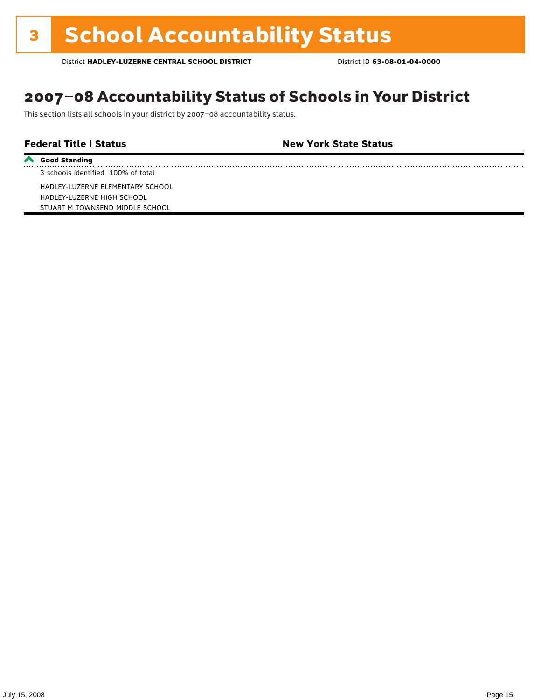# 2007–08 Accountability Status of Schools in Your District

This section lists all schools in your district by 2007–08 accountability status.

**Federal Title I Status New York State Status**

**Good Standing**

3 schools identified 100% of total

HADLEY-LUZERNE ELEMENTARY SCHOOL HADLEY-LUZERNE HIGH SCHOOL STUART M TOWNSEND MIDDLE SCHOOL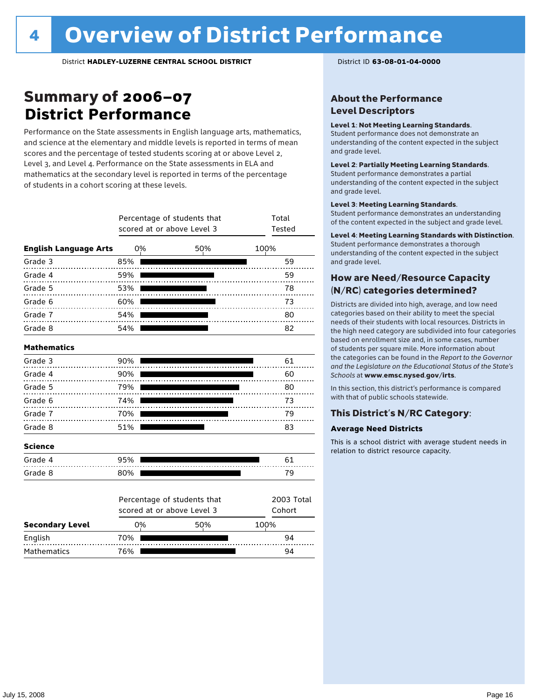## Summary of 2006–07 **District Performance**

Performance on the State assessments in English language arts, mathematics, and science at the elementary and middle levels is reported in terms of mean scores and the percentage of tested students scoring at or above Level 2, Level 3, and Level 4. Performance on the State assessments in ELA and mathematics at the secondary level is reported in terms of the percentage of students in a cohort scoring at these levels.

|                              | Percentage of students that<br>scored at or above Level 3 | Total<br>Tested                                           |                      |
|------------------------------|-----------------------------------------------------------|-----------------------------------------------------------|----------------------|
| <b>English Language Arts</b> | 0%                                                        | 50%                                                       | 100%                 |
| Grade 3                      | 85%                                                       |                                                           | 59                   |
| Grade 4                      | 59%                                                       |                                                           | 59                   |
| Grade 5                      | 53%                                                       |                                                           | 78                   |
| Grade 6                      | 60%                                                       |                                                           | 73                   |
| Grade 7                      | 54%                                                       |                                                           | 80                   |
| Grade 8                      | 54%                                                       |                                                           | 82                   |
| <b>Mathematics</b>           |                                                           |                                                           |                      |
| Grade 3                      | 90%                                                       |                                                           | 61                   |
| Grade 4                      | 90%                                                       |                                                           | 60                   |
| Grade 5                      | 79%                                                       |                                                           | 80                   |
| Grade 6                      | 74%                                                       |                                                           | 73                   |
| Grade 7                      | 70%                                                       |                                                           | 79                   |
| Grade 8                      | 51%                                                       |                                                           | 83                   |
| <b>Science</b>               |                                                           |                                                           |                      |
| Grade 4                      | 95%                                                       |                                                           | 61                   |
| Grade 8                      | 80%                                                       |                                                           | 79                   |
|                              |                                                           | Percentage of students that<br>scored at or above Level 3 | 2003 Total<br>Cohort |
| <b>Secondary Level</b>       | 0%                                                        | 50%                                                       | 100%                 |

English 70% 94 Mathematics 76% 94

#### About the Performance Level Descriptors

#### Level 1: Not Meeting Learning Standards.

Student performance does not demonstrate an understanding of the content expected in the subject and grade level.

#### Level 2: Partially Meeting Learning Standards.

Student performance demonstrates a partial understanding of the content expected in the subject and grade level.

#### Level 3: Meeting Learning Standards.

Student performance demonstrates an understanding of the content expected in the subject and grade level.

#### Level 4: Meeting Learning Standards with Distinction.

Student performance demonstrates a thorough understanding of the content expected in the subject and grade level.

#### How are Need/Resource Capacity (N/RC) categories determined?

Districts are divided into high, average, and low need categories based on their ability to meet the special needs of their students with local resources. Districts in the high need category are subdivided into four categories based on enrollment size and, in some cases, number of students per square mile. More information about the categories can be found in the *Report to the Governor and the Legislature on the Educational Status of the State's Schools* at www.emsc.nysed.gov/irts.

In this section, this district's performance is compared with that of public schools statewide.

#### This District's N/RC Category:

#### **Average Need Districts**

This is a school district with average student needs in relation to district resource capacity.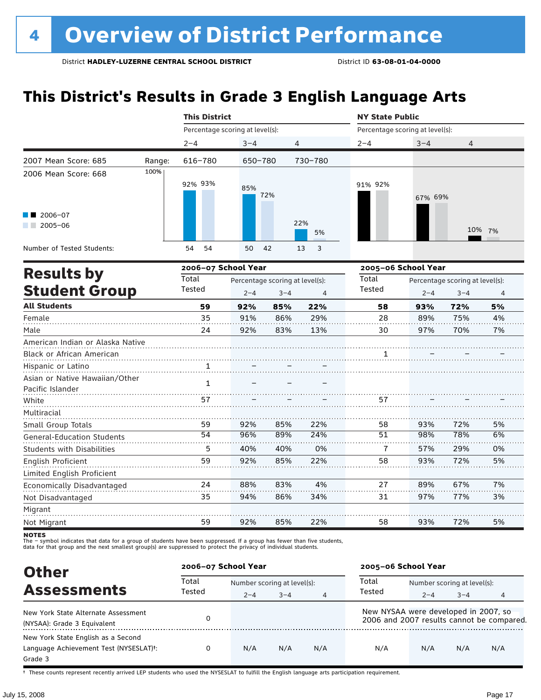# **This District's Results in Grade 3 English Language Arts**

|                                                               |        | <b>This District</b>            |                                 |         |               |                                 | <b>NY State Public</b> |                                 |        |  |
|---------------------------------------------------------------|--------|---------------------------------|---------------------------------|---------|---------------|---------------------------------|------------------------|---------------------------------|--------|--|
|                                                               |        | Percentage scoring at level(s): |                                 |         |               | Percentage scoring at level(s): |                        |                                 |        |  |
|                                                               |        | $2 - 4$                         | $3 - 4$                         |         | 4             | $2 - 4$                         | $3 - 4$                | 4                               |        |  |
| 2007 Mean Score: 685                                          | Range: | 616-780                         | 650-780                         |         | 730-780       |                                 |                        |                                 |        |  |
| 2006 Mean Score: 668<br>$\blacksquare$ 2006-07<br>$2005 - 06$ | 100%   | 92% 93%                         | 85%                             | 72%     | 22%           | 91% 92%                         | 67% 69%                |                                 |        |  |
| Number of Tested Students:                                    |        | 54<br>54                        | 50                              | 42      | 5%<br>3<br>13 |                                 |                        |                                 | 10% 7% |  |
| <b>Results by</b>                                             |        | 2006-07 School Year             |                                 |         |               |                                 | 2005-06 School Year    |                                 |        |  |
|                                                               |        | Total                           | Percentage scoring at level(s): |         |               | Total                           |                        | Percentage scoring at level(s): |        |  |
| <b>Student Group</b>                                          |        | Tested                          | $2 - 4$                         | $3 - 4$ | 4             | Tested                          | $2 - 4$                | $3 - 4$                         | 4      |  |
| <b>All Students</b>                                           |        | 59                              | 92%                             | 85%     | 22%           | 58                              | 93%                    | 72%                             | 5%     |  |
| Female                                                        |        | 35                              | 91%                             | 86%     | 29%           | 28                              | 89%                    | 75%                             | 4%     |  |
| Male                                                          |        | 24                              | 92%                             | 83%     | 13%           | 30                              | 97%                    | 70%                             | 7%     |  |

| American Indian or Alaska Native  |    |     |     |     |    |     |     |    |
|-----------------------------------|----|-----|-----|-----|----|-----|-----|----|
| <b>Black or African American</b>  |    |     |     |     |    |     |     |    |
| Hispanic or Latino                |    |     |     |     |    |     |     |    |
| Asian or Native Hawaiian/Other    |    |     |     |     |    |     |     |    |
| Pacific Islander                  |    |     |     |     |    |     |     |    |
| White                             | 57 |     |     |     | 57 |     |     |    |
| Multiracial                       |    |     |     |     |    |     |     |    |
| Small Group Totals                | 59 | 92% | 85% | 22% | 58 | 93% | 72% | 5% |
| <b>General-Education Students</b> | 54 | 96% | 89% | 24% | 51 | 98% | 78% | 6% |
| <b>Students with Disabilities</b> | 5  | 40% | 40% | 0%  | 7  | 57% | 29% | 0% |
| English Proficient                | 59 | 92% | 85% | 22% | 58 | 93% | 72% | 5% |
| Limited English Proficient        |    |     |     |     |    |     |     |    |
| Economically Disadvantaged        | 24 | 88% | 83% | 4%  | 27 | 89% | 67% | 7% |
| Not Disadvantaged                 | 35 | 94% | 86% | 34% | 31 | 97% | 77% | 3% |
| Migrant                           |    |     |     |     |    |     |     |    |
| Not Migrant                       | 59 | 92% | 85% | 22% | 58 | 93% | 72% | 5% |

**NOTES** 

The – symbol indicates that data for a group of students have been suppressed. If a group has fewer than five students,<br>data for that group and the next smallest group(s) are suppressed to protect the privacy of individual

| <b>Other</b>                                                                                         | 2006-07 School Year |                             |         |     | 2005-06 School Year                  |                             |         |                                           |  |
|------------------------------------------------------------------------------------------------------|---------------------|-----------------------------|---------|-----|--------------------------------------|-----------------------------|---------|-------------------------------------------|--|
| <b>Assessments</b>                                                                                   | Total<br>Tested     | Number scoring at level(s): |         |     | Total                                | Number scoring at level(s): |         |                                           |  |
|                                                                                                      |                     | $2 - 4$                     | $3 - 4$ | 4   | Tested                               | $2 - 4$                     | $3 - 4$ | 4                                         |  |
| New York State Alternate Assessment<br>(NYSAA): Grade 3 Equivalent                                   |                     |                             |         |     | New NYSAA were developed in 2007, so |                             |         | 2006 and 2007 results cannot be compared. |  |
| New York State English as a Second<br>Language Achievement Test (NYSESLAT) <sup>+</sup> :<br>Grade 3 |                     | N/A                         | N/A     | N/A | N/A                                  | N/A                         | N/A     | N/A                                       |  |

† These counts represent recently arrived LEP students who used the NYSESLAT to fulfill the English language arts participation requirement.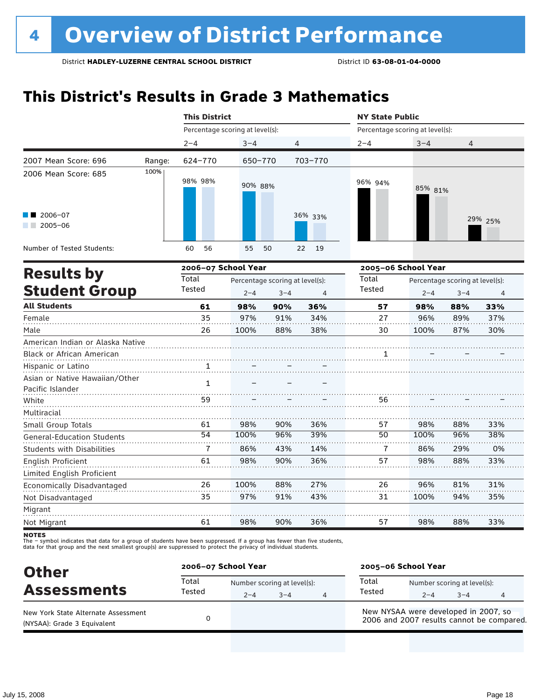# **This District's Results in Grade 3 Mathematics**

|                                                    |        | <b>This District</b>                     |         |         |                | <b>NY State Public</b>          |                                 |         |         |  |  |
|----------------------------------------------------|--------|------------------------------------------|---------|---------|----------------|---------------------------------|---------------------------------|---------|---------|--|--|
|                                                    |        | Percentage scoring at level(s):          |         |         |                | Percentage scoring at level(s): |                                 |         |         |  |  |
|                                                    |        | $2 - 4$                                  | $3 - 4$ | 4       |                | $2 - 4$                         | $3 - 4$                         | 4       |         |  |  |
| 2007 Mean Score: 696                               | Range: | 624-770                                  | 650-770 |         | 703-770        |                                 |                                 |         |         |  |  |
| 2006 Mean Score: 685                               | 100%   | 98% 98%                                  | 90% 88% |         |                | 96% 94%                         | 85% 81%                         |         |         |  |  |
| 2006-07<br>$\blacksquare$ 2005-06                  |        |                                          |         |         | 36% 33%        |                                 |                                 |         | 29% 25% |  |  |
| Number of Tested Students:                         |        | 56<br>60                                 | 55      | 50      | 19<br>22       |                                 |                                 |         |         |  |  |
| <b>Results by</b>                                  |        | 2006-07 School Year                      |         |         |                | 2005-06 School Year             |                                 |         |         |  |  |
|                                                    |        | Total<br>Percentage scoring at level(s): |         |         | Total          |                                 | Percentage scoring at level(s): |         |         |  |  |
| <b>Student Group</b>                               |        | Tested                                   | $2 - 4$ | $3 - 4$ | $\overline{4}$ | Tested                          | $2 - 4$                         | $3 - 4$ | 4       |  |  |
| <b>All Students</b>                                |        | 61                                       | 98%     | 90%     | 36%            | 57                              | 98%                             | 88%     | 33%     |  |  |
| Female                                             |        | 35                                       | 97%     | 91%     | 34%            | 27                              | 96%                             | 89%     | 37%     |  |  |
| Male                                               |        | 26                                       | 100%    | 88%     | 38%            | 30                              | 100%                            | 87%     | 30%     |  |  |
| American Indian or Alaska Native                   |        |                                          |         |         |                |                                 |                                 |         |         |  |  |
| Black or African American                          |        |                                          |         |         |                | 1                               |                                 |         |         |  |  |
| Hispanic or Latino                                 |        |                                          |         |         |                |                                 |                                 |         |         |  |  |
| Asian or Native Hawaiian/Other<br>Pacific Islander |        | $\mathbf{1}$                             | .       |         |                |                                 |                                 |         |         |  |  |
| White                                              |        | 59                                       |         |         |                | 56                              |                                 |         |         |  |  |
| Multiracial                                        |        |                                          |         |         |                |                                 |                                 |         |         |  |  |
| Small Group Totals                                 |        | 61                                       | 98%     | 90%     | 36%            | 57                              | 98%                             | 88%     | 33%     |  |  |
| <b>General-Education Students</b>                  |        | 54                                       | 100%    | 96%     | 39%            | 50                              | 100%                            | 96%     | 38%     |  |  |
| <b>Students with Disabilities</b>                  |        | 7                                        | 86%     | 43%     | 14%            | 7                               | 86%                             | 29%     | 0%      |  |  |
| <b>English Proficient</b>                          |        | 61                                       | 98%     | 90%     | 36%            | 57                              | 98%                             | 88%     | 33%     |  |  |
| Limited English Proficient                         |        |                                          |         |         |                |                                 |                                 |         |         |  |  |
| Economically Disadvantaged                         |        | 26                                       | 100%    | 88%     | 27%            | 26                              | 96%                             | 81%     | 31%     |  |  |
| Not Disadvantaged                                  |        | 35                                       | 97%     | 91%     | 43%            | 31                              | 100%                            | 94%     | 35%     |  |  |

**NOTES** 

Migrant Not Migrant

The – symbol indicates that data for a group of students have been suppressed. If a group has fewer than five students,<br>data for that group and the next smallest group(s) are suppressed to protect the privacy of individual

61

| <b>Other</b>                                                       | 2006-07 School Year |                                        |      | 2005-06 School Year                                                               |                                        |         |   |  |
|--------------------------------------------------------------------|---------------------|----------------------------------------|------|-----------------------------------------------------------------------------------|----------------------------------------|---------|---|--|
| <b>Assessments</b>                                                 | Total<br>Tested     | Number scoring at level(s):<br>$2 - 4$ | $-4$ | Total<br>Tested                                                                   | Number scoring at level(s):<br>$2 - 4$ | $3 - 4$ | 4 |  |
| New York State Alternate Assessment<br>(NYSAA): Grade 3 Equivalent |                     |                                        |      | New NYSAA were developed in 2007, so<br>2006 and 2007 results cannot be compared. |                                        |         |   |  |

90%

36%

57

98%

. . . . . . . . . . .

88%

. . . . . . . . . . .

33%

98%

. . . . . . . . .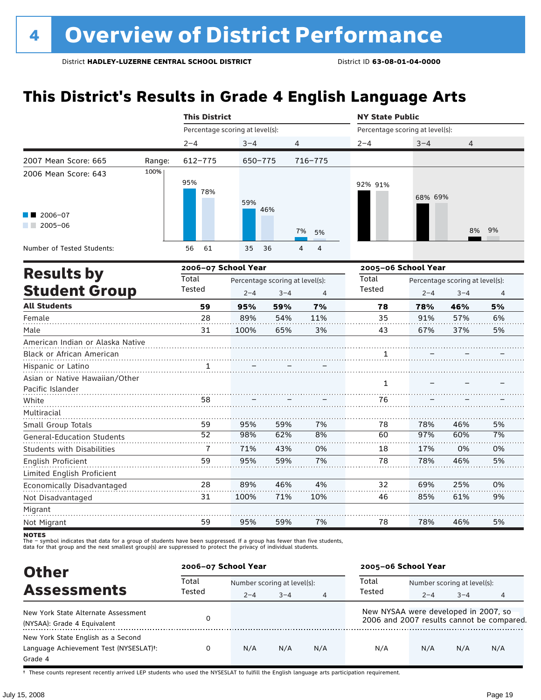# **This District's Results in Grade 4 English Language Arts**

|                                                    |        | <b>This District</b>            |         |                                 |                     | <b>NY State Public</b>          |                                 |         |    |  |
|----------------------------------------------------|--------|---------------------------------|---------|---------------------------------|---------------------|---------------------------------|---------------------------------|---------|----|--|
|                                                    |        | Percentage scoring at level(s): |         |                                 |                     | Percentage scoring at level(s): |                                 |         |    |  |
|                                                    |        | $2 - 4$                         | $3 - 4$ |                                 | 4                   | $2 - 4$                         | $3 - 4$                         | 4       |    |  |
| 2007 Mean Score: 665                               | Range: | 612-775                         | 650-775 |                                 | 716-775             |                                 |                                 |         |    |  |
| 2006 Mean Score: 643                               | 100%   | 95%<br>78%                      | 59%     |                                 |                     | 92% 91%                         | 68% 69%                         |         |    |  |
| $2006 - 07$<br>$2005 - 06$<br>a sa bar             |        |                                 |         | 46%                             | 7%<br>5%            |                                 |                                 | 8%      | 9% |  |
| Number of Tested Students:                         |        | 61<br>56                        | 35      | 36                              | $\overline{4}$<br>4 |                                 |                                 |         |    |  |
| <b>Results by</b>                                  |        | 2006-07 School Year             |         |                                 |                     |                                 | 2005-06 School Year             |         |    |  |
|                                                    |        | Total                           |         | Percentage scoring at level(s): |                     |                                 | Percentage scoring at level(s): |         |    |  |
| <b>Student Group</b>                               |        | Tested                          | $2 - 4$ | $3 - 4$                         | $\overline{4}$      | Tested                          | $2 - 4$                         | $3 - 4$ | 4  |  |
| <b>All Students</b>                                |        | 59                              | 95%     | 59%                             | 7%                  | 78                              | 78%                             | 46%     | 5% |  |
| Female                                             |        | 28                              | 89%     | 54%                             | 11%                 | 35                              | 91%                             | 57%     | 6% |  |
| Male                                               |        | 31                              | 100%    | 65%                             | 3%                  | 43                              | 67%                             | 37%     | 5% |  |
| American Indian or Alaska Native                   |        |                                 |         |                                 |                     |                                 |                                 |         |    |  |
| Black or African American                          |        |                                 |         |                                 |                     |                                 |                                 |         |    |  |
| Hispanic or Latino                                 |        |                                 |         |                                 |                     |                                 |                                 |         |    |  |
| Asian or Native Hawaiian/Other<br>Pacific Islander |        |                                 |         |                                 |                     | $\mathbf{1}$                    |                                 |         |    |  |
| White                                              |        | 58                              |         |                                 |                     | 76                              |                                 |         |    |  |
| Multiracial                                        |        |                                 |         |                                 |                     |                                 |                                 |         |    |  |
| Small Group Totals                                 |        | 59                              | 95%     | 59%                             | 7%                  | 78                              | 78%                             | 46%     | 5% |  |
| <b>General-Education Students</b>                  |        | 52                              | 98%     | 62%                             | 8%                  | 60                              | 97%                             | 60%     | 7% |  |
| <b>Students with Disabilities</b>                  |        | 7                               | 71%     | 43%                             | 0%                  | 18                              | 17%                             | 0%      | 0% |  |
| English Proficient                                 |        | 59                              | 95%     | 59%                             | 7%                  | 78                              | 78%                             | 46%     | 5% |  |
| Limited English Proficient                         |        |                                 |         |                                 |                     |                                 |                                 |         |    |  |
| Economically Disadvantaged                         |        | 28                              | 89%     | 46%                             | 4%                  | 32                              | 69%                             | 25%     | 0% |  |
| Not Disadvantaged                                  |        | 31                              | 100%    | 71%                             | 10%                 | 46                              | 85%                             | 61%     | 9% |  |
| Migrant                                            |        |                                 |         |                                 |                     |                                 |                                 |         |    |  |
| Not Migrant                                        |        | 59                              | 95%     | 59%                             | 7%                  | 78                              | 78%                             | 46%     | 5% |  |
|                                                    |        |                                 |         |                                 |                     |                                 |                                 |         |    |  |

**NOTES** 

The – symbol indicates that data for a group of students have been suppressed. If a group has fewer than five students,<br>data for that group and the next smallest group(s) are suppressed to protect the privacy of individual

| <b>Other</b>                           | 2006-07 School Year |                             |         |                | 2005-06 School Year                  |                             |         |                                           |  |
|----------------------------------------|---------------------|-----------------------------|---------|----------------|--------------------------------------|-----------------------------|---------|-------------------------------------------|--|
| <b>Assessments</b>                     | Total<br>Tested     | Number scoring at level(s): |         |                | Total                                | Number scoring at level(s): |         |                                           |  |
|                                        |                     | $2 - 4$                     | $3 - 4$ | $\overline{4}$ | Tested                               | $2 - 4$                     | $3 - 4$ | 4                                         |  |
| New York State Alternate Assessment    |                     |                             |         |                | New NYSAA were developed in 2007, so |                             |         |                                           |  |
| (NYSAA): Grade 4 Equivalent            |                     |                             |         |                |                                      |                             |         | 2006 and 2007 results cannot be compared. |  |
| New York State English as a Second     |                     |                             |         |                |                                      |                             |         |                                           |  |
| Language Achievement Test (NYSESLAT)t: | 0                   | N/A                         | N/A     | N/A            | N/A                                  | N/A                         | N/A     | N/A                                       |  |
| Grade 4                                |                     |                             |         |                |                                      |                             |         |                                           |  |

† These counts represent recently arrived LEP students who used the NYSESLAT to fulfill the English language arts participation requirement.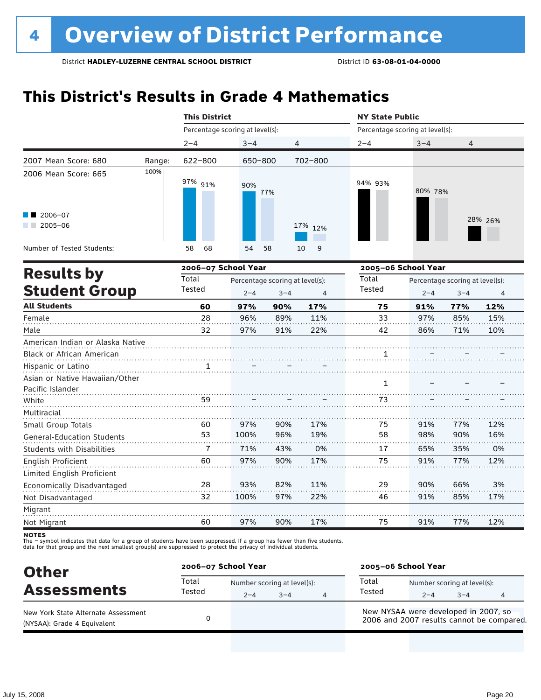# **This District's Results in Grade 4 Mathematics**

|                                                    |        | <b>This District</b>                     |         |                |         | <b>NY State Public</b>          |                                 |     |         |
|----------------------------------------------------|--------|------------------------------------------|---------|----------------|---------|---------------------------------|---------------------------------|-----|---------|
|                                                    |        | Percentage scoring at level(s):          |         |                |         | Percentage scoring at level(s): |                                 |     |         |
|                                                    |        | $2 - 4$                                  | $3 - 4$ | 4              |         | $2 - 4$                         | $3 - 4$                         | 4   |         |
| 2007 Mean Score: 680                               | Range: | 622-800                                  | 650-800 |                | 702-800 |                                 |                                 |     |         |
| 2006 Mean Score: 665                               | 100%   | 97% 91%                                  | 90%     | 77%            |         | 94% 93%                         | 80% 78%                         |     |         |
| 2006-07<br>$2005 - 06$                             |        |                                          |         |                | 17% 12% |                                 |                                 |     | 28% 26% |
| Number of Tested Students:                         |        | 58<br>68                                 | 54      | 58             | 9<br>10 |                                 |                                 |     |         |
| <b>Results by</b>                                  |        | 2006-07 School Year                      |         |                |         | 2005-06 School Year             |                                 |     |         |
|                                                    |        | Total<br>Percentage scoring at level(s): |         |                | Total   |                                 | Percentage scoring at level(s): |     |         |
| <b>Student Group</b><br>Tested<br>$2 - 4$          |        |                                          | $3 - 4$ | $\overline{4}$ | Tested  | $2 - 4$                         | $3 - 4$                         | 4   |         |
| <b>All Students</b>                                |        | 60                                       | 97%     | 90%            | 17%     | 75                              | 91%                             | 77% | 12%     |
| Female                                             |        | 28                                       | 96%     | 89%            | 11%     | 33                              | 97%                             | 85% | 15%     |
| Male                                               |        | 32                                       | 97%     | 91%            | 22%     | 42                              | 86%                             | 71% | 10%     |
| American Indian or Alaska Native                   |        |                                          |         |                |         |                                 |                                 |     |         |
| <b>Black or African American</b>                   |        |                                          |         |                |         | 1                               |                                 |     |         |
| Hispanic or Latino                                 |        | 1                                        |         |                |         |                                 |                                 |     |         |
| Asian or Native Hawaiian/Other<br>Pacific Islander |        |                                          |         |                |         | 1                               |                                 |     |         |
| White                                              |        | 59                                       |         |                |         | 73                              |                                 |     |         |
| Multiracial                                        |        |                                          |         |                |         |                                 |                                 |     |         |
| Small Group Totals                                 |        | 60                                       | 97%     | 90%            | 17%     | 75                              | 91%                             | 77% | 12%     |
| <b>General-Education Students</b>                  |        | $\overline{53}$                          | 100%    | 96%            | 19%     | $\overline{58}$                 | 98%                             | 90% | 16%     |
| Students with Disabilities                         |        | $\overline{7}$                           | 71%     | 43%            | 0%      | 17                              | 65%                             | 35% | 0%      |
| English Proficient<br>Limited English Proficient   |        | 60                                       | 97%     | 90%            | 17%     | 75                              | 91%                             | 77% | 12%     |
| Economically Disadvantaged                         |        | 28                                       | 93%     | 82%            | 11%     | 29                              | 90%                             | 66% | 3%      |
| Not Disadvantaged                                  |        | 32                                       | 100%    | 97%            | 22%     | 46                              | 91%                             | 85% | 17%     |
| Migrant                                            |        |                                          |         |                |         |                                 |                                 |     |         |
| Not Migrant                                        |        | 60                                       | 97%     | 90%            | 17%     | 75                              | 91%                             | 77% | 12%     |

**NOTES** 

The – symbol indicates that data for a group of students have been suppressed. If a group has fewer than five students,<br>data for that group and the next smallest group(s) are suppressed to protect the privacy of individual

| <b>Other</b>                                                       | 2006-07 School Year |                                        |      | 2005-06 School Year                                                               |                                        |         |   |  |
|--------------------------------------------------------------------|---------------------|----------------------------------------|------|-----------------------------------------------------------------------------------|----------------------------------------|---------|---|--|
| <b>Assessments</b>                                                 | Total<br>Tested     | Number scoring at level(s):<br>$2 - 4$ | $-4$ | Total<br>Tested                                                                   | Number scoring at level(s):<br>$2 - 4$ | $3 - 4$ | 4 |  |
| New York State Alternate Assessment<br>(NYSAA): Grade 4 Equivalent |                     |                                        |      | New NYSAA were developed in 2007, so<br>2006 and 2007 results cannot be compared. |                                        |         |   |  |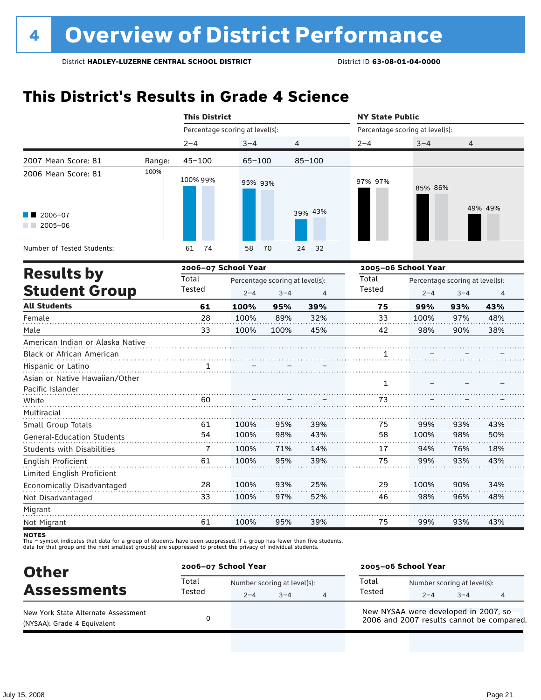# **This District's Results in Grade 4 Science**

|                                               |        | <b>This District</b> |                                 |      |            | <b>NY State Public</b>          |         | 4<br>49% 49%<br>Percentage scoring at level(s): |     |  |  |  |
|-----------------------------------------------|--------|----------------------|---------------------------------|------|------------|---------------------------------|---------|-------------------------------------------------|-----|--|--|--|
|                                               |        |                      | Percentage scoring at level(s): |      |            | Percentage scoring at level(s): |         |                                                 |     |  |  |  |
|                                               |        | $2 - 4$              | $3 - 4$                         | 4    |            | $2 - 4$                         | $3 - 4$ |                                                 |     |  |  |  |
| 2007 Mean Score: 81                           | Range: | $45 - 100$           | $65 - 100$                      |      | $85 - 100$ |                                 |         |                                                 |     |  |  |  |
| 2006 Mean Score: 81                           | 100%   | 100% 99%             | 95% 93%                         |      |            | 97% 97%                         | 85% 86% |                                                 |     |  |  |  |
| $\blacksquare$ 2006-07<br>2005-06<br>a sa Tan |        |                      |                                 |      | 39% 43%    |                                 |         |                                                 |     |  |  |  |
| Number of Tested Students:                    |        | 74<br>61             | 58                              | 70   | 24<br>32   |                                 |         |                                                 |     |  |  |  |
|                                               |        | 2006-07 School Year  |                                 |      |            | 2005-06 School Year             |         |                                                 |     |  |  |  |
| <b>Results by</b>                             |        | Total                | Percentage scoring at level(s): |      |            | Total                           |         |                                                 |     |  |  |  |
| <b>Student Group</b>                          |        | Tested               | $2 - 4$<br>$3 - 4$              |      | 4          | Tested                          | $2 - 4$ | $3 - 4$                                         | 4   |  |  |  |
| <b>All Students</b>                           |        | 61                   | 100%                            | 95%  | 39%        | 75                              | 99%     | 93%                                             | 43% |  |  |  |
| Female                                        |        | 28                   | 100%                            | 89%  | 32%        | 33                              | 100%    | 97%                                             | 48% |  |  |  |
| Male                                          |        | 33                   | 100%                            | 100% | 45%        | 42                              | 98%     | 90%                                             | 38% |  |  |  |
| American Indian or Alaska Native              |        |                      |                                 |      |            |                                 |         |                                                 |     |  |  |  |
| Black or African American                     |        |                      |                                 |      |            |                                 |         |                                                 |     |  |  |  |
| Hispanic or Latino                            |        | $\mathbf{1}$         |                                 |      |            |                                 |         |                                                 |     |  |  |  |
| Asian or Native Hawaiian/Other                |        |                      |                                 |      |            | 1                               |         |                                                 |     |  |  |  |
| Pacific Islander                              |        |                      |                                 |      |            |                                 |         |                                                 |     |  |  |  |
| White                                         |        | 60                   |                                 |      |            | 73                              |         |                                                 |     |  |  |  |
| Multiracial                                   |        |                      |                                 |      |            | .                               |         |                                                 |     |  |  |  |
| Small Group Totals                            |        | 61                   | 100%                            | 95%  | 39%        | 75                              | 99%     | 93%                                             | 43% |  |  |  |
| General-Education Students                    |        | 54                   | 100%                            | 98%  | 43%        | 58                              | 100%    | 98%                                             | 50% |  |  |  |

| General-Equcation Students |    |      |     |     |      |     |     |
|----------------------------|----|------|-----|-----|------|-----|-----|
| Students with Disabilities |    | 100% | 71% | 14% | 94%  | 76% | 18% |
| English Proficient         | 61 | 100% | 95% | 39% | 99%  | 93% | 43% |
| Limited English Proficient |    |      |     |     |      |     |     |
| Economically Disadvantaged | 28 | 100% | 93% | 25% | 100% | 90% | 34% |
| Not Disadvantaged          | 33 | 100% | 97% | 52% | 98%  | 96% | 48% |
|                            |    |      |     |     |      |     |     |
| Not Migrant                | 61 | 100% | 95% | 39% | 99%  | 93% | 43% |
|                            |    |      |     |     |      |     |     |

**NOTES** 

The – symbol indicates that data for a group of students have been suppressed. If a group has fewer than five students,<br>data for that group and the next smallest group(s) are suppressed to protect the privacy of individual

| <b>Other</b>                                                       | 2006-07 School Year |                                        |      | 2005-06 School Year                                                               |                                        |         |   |  |
|--------------------------------------------------------------------|---------------------|----------------------------------------|------|-----------------------------------------------------------------------------------|----------------------------------------|---------|---|--|
| <b>Assessments</b>                                                 | Total<br>Tested     | Number scoring at level(s):<br>$2 - 4$ | $-4$ | Total<br>Tested                                                                   | Number scoring at level(s):<br>$2 - 4$ | $3 - 4$ | 4 |  |
| New York State Alternate Assessment<br>(NYSAA): Grade 4 Equivalent |                     |                                        |      | New NYSAA were developed in 2007, so<br>2006 and 2007 results cannot be compared. |                                        |         |   |  |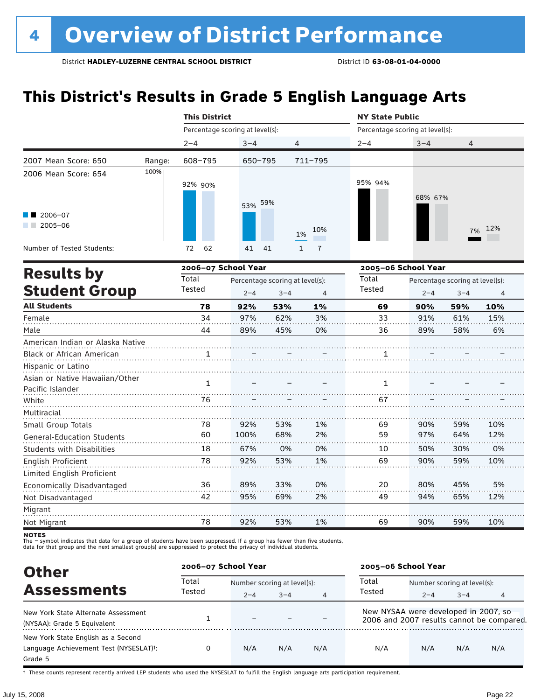# **This District's Results in Grade 5 English Language Arts**

|                                                                                                                                                                                  |  |                     |                                                            |                                 |                                | <b>NY State Public</b> |                                                       |     |     |
|----------------------------------------------------------------------------------------------------------------------------------------------------------------------------------|--|---------------------|------------------------------------------------------------|---------------------------------|--------------------------------|------------------------|-------------------------------------------------------|-----|-----|
| <b>This District</b><br>Percentage scoring at level(s):<br>$2 - 4$<br>$3 - 4$<br>2007 Mean Score: 650<br>608-795<br>Range:<br>100%<br>2006 Mean Score: 654<br>92% 90%<br>53% 59% |  |                     |                                                            | Percentage scoring at level(s): |                                |                        |                                                       |     |     |
|                                                                                                                                                                                  |  |                     |                                                            |                                 | 4                              | $2 - 4$                | $3 - 4$                                               | 4   |     |
|                                                                                                                                                                                  |  |                     | $650 - 795$                                                |                                 | $711 - 795$                    |                        |                                                       |     |     |
|                                                                                                                                                                                  |  |                     |                                                            |                                 |                                | 95% 94%                | 68% 67%                                               |     |     |
| $2006 - 07$<br>$2005 - 06$<br>a sa Bala                                                                                                                                          |  |                     |                                                            |                                 | 10%<br>1%                      |                        |                                                       | 7%  | 12% |
| Number of Tested Students:                                                                                                                                                       |  | 62<br>72            | 41                                                         | 41                              | $\overline{1}$<br>$\mathbf{1}$ |                        |                                                       |     |     |
|                                                                                                                                                                                  |  | 2006-07 School Year |                                                            |                                 |                                |                        | 2005-06 School Year                                   |     |     |
| <b>Results by</b><br><b>Student Group</b>                                                                                                                                        |  | Total<br>Tested     | Percentage scoring at level(s):<br>$2 - 4$<br>$3 - 4$<br>4 |                                 |                                | Total<br>Tested        | Percentage scoring at level(s):<br>$3 - 4$<br>$2 - 4$ |     | 4   |
| <b>All Students</b>                                                                                                                                                              |  | 78                  | 92%                                                        | 53%                             | 1%                             | 69                     | 90%                                                   | 59% | 10% |
| Female                                                                                                                                                                           |  | 34                  | 97%                                                        | 62%                             | 3%                             | 33                     | 91%                                                   | 61% | 15% |
| Male                                                                                                                                                                             |  | 44                  | 89%                                                        | 45%                             | 0%                             | 36                     | 89%                                                   | 58% | 6%  |
| American Indian or Alaska Native                                                                                                                                                 |  |                     |                                                            |                                 |                                |                        |                                                       |     |     |
| Black or African American                                                                                                                                                        |  | 1                   |                                                            |                                 |                                | 1                      |                                                       |     |     |
| Hispanic or Latino                                                                                                                                                               |  |                     |                                                            |                                 |                                |                        |                                                       |     |     |
| Asian or Native Hawaiian/Other<br>Pacific Islander                                                                                                                               |  | $\mathbf{1}$        |                                                            |                                 |                                | 1                      |                                                       |     |     |
| White                                                                                                                                                                            |  | 76                  |                                                            |                                 |                                | 67                     |                                                       |     |     |
| Multiracial<br>Small Group Totals                                                                                                                                                |  | 78                  | 92%                                                        | 53%                             | 1%                             | 69                     | 90%                                                   | 59% | 10% |
| <b>General-Education Students</b>                                                                                                                                                |  | 60                  | 100%                                                       | 68%                             | 2%                             | 59                     | 97%                                                   | 64% | 12% |
| <b>Students with Disabilities</b>                                                                                                                                                |  | 18                  | 67%                                                        | 0%                              | 0%                             | 10                     | 50%                                                   | 30% | 0%  |
| English Proficient                                                                                                                                                               |  | 78                  | 92%                                                        | 53%                             | 1%                             | 69                     | 90%                                                   | 59% | 10% |
| Limited English Proficient                                                                                                                                                       |  |                     |                                                            |                                 |                                |                        |                                                       |     |     |
| Economically Disadvantaged                                                                                                                                                       |  | 36                  | 89%                                                        | 33%                             | 0%                             | 20                     | 80%                                                   | 45% | 5%  |
| Not Disadvantaged                                                                                                                                                                |  | 42                  | 95%                                                        | 69%                             | 2%                             | 49                     | 94%                                                   | 65% | 12% |
| Migrant                                                                                                                                                                          |  |                     |                                                            |                                 |                                |                        |                                                       |     |     |
| Not Migrant                                                                                                                                                                      |  | 78                  | 92%                                                        | 53%                             | 1%                             | 69                     | 90%                                                   | 59% | 10% |

**NOTES** 

The – symbol indicates that data for a group of students have been suppressed. If a group has fewer than five students,<br>data for that group and the next smallest group(s) are suppressed to protect the privacy of individual

| <b>Other</b>                                                                                         | 2006-07 School Year |                             |         |                | 2005-06 School Year                  |                             |         |                                           |  |
|------------------------------------------------------------------------------------------------------|---------------------|-----------------------------|---------|----------------|--------------------------------------|-----------------------------|---------|-------------------------------------------|--|
| <b>Assessments</b>                                                                                   | Total<br>Tested     | Number scoring at level(s): |         |                | Total                                | Number scoring at level(s): |         |                                           |  |
|                                                                                                      |                     | $2 - 4$                     | $3 - 4$ | $\overline{4}$ | Tested                               | $2 - 4$                     | $3 - 4$ | 4                                         |  |
| New York State Alternate Assessment<br>(NYSAA): Grade 5 Equivalent                                   |                     |                             |         |                | New NYSAA were developed in 2007, so |                             |         | 2006 and 2007 results cannot be compared. |  |
| New York State English as a Second<br>Language Achievement Test (NYSESLAT) <sup>+</sup> :<br>Grade 5 | 0                   | N/A                         | N/A     | N/A            | N/A                                  | N/A                         | N/A     | N/A                                       |  |

† These counts represent recently arrived LEP students who used the NYSESLAT to fulfill the English language arts participation requirement.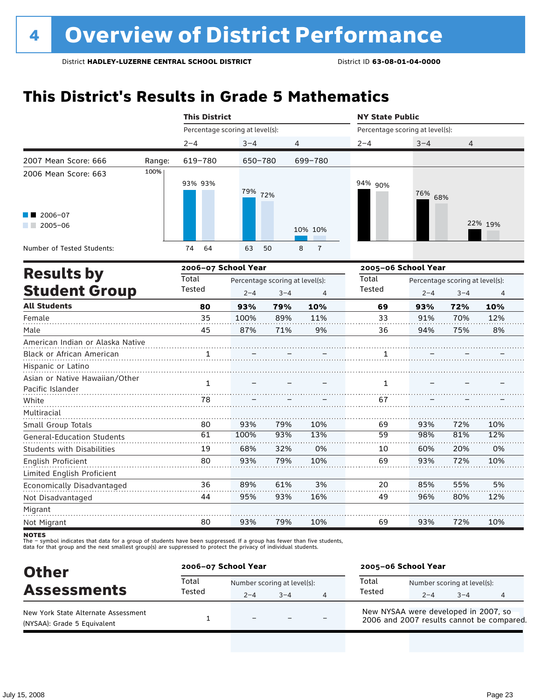# **This District's Results in Grade 5 Mathematics**

|                                       |        |         | <b>This District</b>                                                                                                                                                                                                                                                                                                                     |     |     |                                 | <b>NY State Public</b> |                                 |         |  |  |
|---------------------------------------|--------|---------|------------------------------------------------------------------------------------------------------------------------------------------------------------------------------------------------------------------------------------------------------------------------------------------------------------------------------------------|-----|-----|---------------------------------|------------------------|---------------------------------|---------|--|--|
|                                       |        |         | Percentage scoring at level(s):<br>$3 - 4$<br>4<br>699-780<br>650-780<br>79%<br>72%<br>10% 10%<br>64<br>50<br>63<br>8<br>$\overline{7}$<br>2006-07 School Year<br>Percentage scoring at level(s):<br>$2 - 4$<br>$3 - 4$<br>4<br>79%<br>10%<br>80<br>93%<br>35<br>100%<br>89%<br>11%<br>45<br>87%<br>71%<br>9%<br>$\mathbf{1}$<br>1<br>78 |     |     | Percentage scoring at level(s): |                        |                                 |         |  |  |
|                                       |        | $2 - 4$ |                                                                                                                                                                                                                                                                                                                                          |     |     | $2 - 4$                         | $3 - 4$                | 4                               |         |  |  |
| 2007 Mean Score: 666                  | Range: | 619-780 |                                                                                                                                                                                                                                                                                                                                          |     |     |                                 |                        |                                 |         |  |  |
| 2006 Mean Score: 663                  | 100%   | 93% 93% |                                                                                                                                                                                                                                                                                                                                          |     |     | 94% 90%                         | 76%<br>68%             |                                 |         |  |  |
| 2006-07<br>$2005 - 06$<br>a kacamatan |        |         |                                                                                                                                                                                                                                                                                                                                          |     |     |                                 |                        |                                 | 22% 19% |  |  |
| Number of Tested Students:            |        | 74      |                                                                                                                                                                                                                                                                                                                                          |     |     |                                 |                        |                                 |         |  |  |
| <b>Results by</b>                     |        |         |                                                                                                                                                                                                                                                                                                                                          |     |     |                                 | 2005-06 School Year    |                                 |         |  |  |
|                                       |        | Total   |                                                                                                                                                                                                                                                                                                                                          |     |     | Total                           |                        | Percentage scoring at level(s): |         |  |  |
| <b>Student Group</b>                  |        | Tested  |                                                                                                                                                                                                                                                                                                                                          |     |     | <b>Tested</b>                   | $2 - 4$                | $3 - 4$                         |         |  |  |
| <b>All Students</b>                   |        |         |                                                                                                                                                                                                                                                                                                                                          |     |     | 69                              | 93%                    | 72%                             | 10%     |  |  |
| Female                                |        |         |                                                                                                                                                                                                                                                                                                                                          |     |     | 33                              | 91%                    | 70%                             | 12%     |  |  |
| Male                                  |        |         |                                                                                                                                                                                                                                                                                                                                          |     |     | 36                              | 94%                    | 75%                             | 8%      |  |  |
| American Indian or Alaska Native      |        |         |                                                                                                                                                                                                                                                                                                                                          |     |     |                                 |                        |                                 |         |  |  |
| Black or African American             |        |         |                                                                                                                                                                                                                                                                                                                                          |     |     | 1                               |                        |                                 |         |  |  |
| Hispanic or Latino                    |        |         |                                                                                                                                                                                                                                                                                                                                          |     |     |                                 |                        |                                 |         |  |  |
| Asian or Native Hawaiian/Other        |        |         |                                                                                                                                                                                                                                                                                                                                          |     |     | 1                               |                        |                                 |         |  |  |
| Pacific Islander                      |        |         |                                                                                                                                                                                                                                                                                                                                          |     |     |                                 |                        |                                 |         |  |  |
| White                                 |        |         |                                                                                                                                                                                                                                                                                                                                          |     |     | 67                              |                        |                                 |         |  |  |
| Multiracial                           |        |         |                                                                                                                                                                                                                                                                                                                                          |     |     |                                 |                        |                                 |         |  |  |
| Small Group Totals                    |        | 80      | 93%                                                                                                                                                                                                                                                                                                                                      | 79% | 10% | 69                              | 93%                    | 72%                             | 10%     |  |  |
| <b>General-Education Students</b>     |        | 61      | 100%                                                                                                                                                                                                                                                                                                                                     | 93% | 13% | 59                              | 98%                    | 81%                             | 12%     |  |  |
| <b>Students with Disabilities</b>     |        | 19      | 68%                                                                                                                                                                                                                                                                                                                                      | 32% | 0%  | 10                              | 60%                    | 20%                             | 0%      |  |  |
| English Proficient                    |        | 80      | 93%                                                                                                                                                                                                                                                                                                                                      | 79% | 10% | 69                              | 93%                    | 72%                             | 10%     |  |  |
| Limited English Proficient            |        |         |                                                                                                                                                                                                                                                                                                                                          |     |     |                                 |                        |                                 |         |  |  |
| Economically Disadvantaged            |        | 36      | 89%                                                                                                                                                                                                                                                                                                                                      | 61% | 3%  | 20                              | 85%                    | 55%                             | 5%      |  |  |

Migrant Not Migrant 80 93% 79% 10% 69 93% 72% 10%

93%

16%

49

96%

80%

12%

95%

Not Disadvantaged

The – symbol indicates that data for a group of students have been suppressed. If a group has fewer than five students,<br>data for that group and the next smallest group(s) are suppressed to protect the privacy of individual

44

| <b>Other</b>                                                       | 2006-07 School Year |                                        |         |   | 2005-06 School Year                                                               |         |                                        |   |  |
|--------------------------------------------------------------------|---------------------|----------------------------------------|---------|---|-----------------------------------------------------------------------------------|---------|----------------------------------------|---|--|
| <b>Assessments</b>                                                 | Total<br>Tested     | Number scoring at level(s):<br>$2 - 4$ | $3 - 4$ | Δ | Total<br>Tested                                                                   | $2 - 4$ | Number scoring at level(s):<br>$3 - 4$ | 4 |  |
| New York State Alternate Assessment<br>(NYSAA): Grade 5 Equivalent |                     | -                                      |         |   | New NYSAA were developed in 2007, so<br>2006 and 2007 results cannot be compared. |         |                                        |   |  |

**NOTES**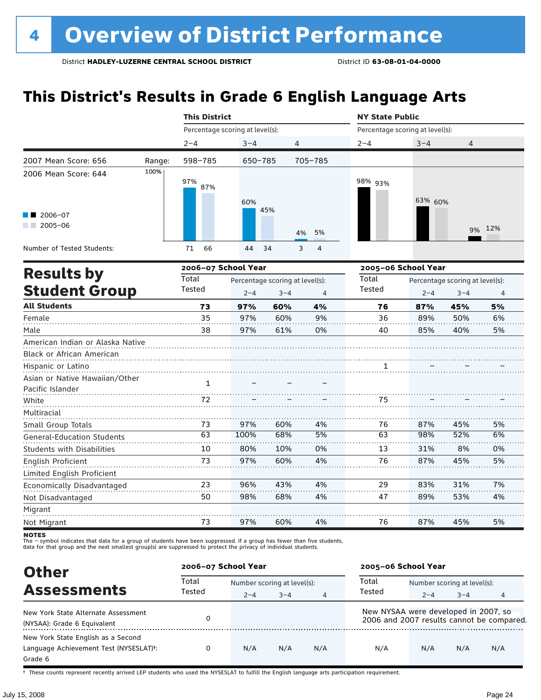# **This District's Results in Grade 6 English Language Arts**

|                                                               |        | <b>This District</b>            |             |                                 |                     | <b>NY State Public</b>          |                     |                                 |                |  |
|---------------------------------------------------------------|--------|---------------------------------|-------------|---------------------------------|---------------------|---------------------------------|---------------------|---------------------------------|----------------|--|
|                                                               |        | Percentage scoring at level(s): |             |                                 |                     | Percentage scoring at level(s): |                     |                                 |                |  |
|                                                               |        | $2 - 4$                         | $3 - 4$     | 4                               |                     | $2 - 4$                         | $3 - 4$             | 4                               |                |  |
| 2007 Mean Score: 656                                          | Range: | 598-785                         | $650 - 785$ |                                 | 705-785             |                                 |                     |                                 |                |  |
| 2006 Mean Score: 644                                          | 100%   | 97%<br>87%                      | 60%         |                                 |                     | 98% 93%                         | 63% 60%             |                                 |                |  |
| $2006 - 07$<br>$2005 - 06$                                    |        |                                 |             | 45%                             | 5%<br>4%            |                                 |                     | 9%                              | 12%            |  |
| Number of Tested Students:                                    |        | 71<br>66                        | 44          | 34                              | 3<br>$\overline{4}$ |                                 |                     |                                 |                |  |
|                                                               |        | 2006-07 School Year             |             |                                 |                     |                                 | 2005-06 School Year |                                 |                |  |
| <b>Results by</b>                                             |        | Total                           |             | Percentage scoring at level(s): |                     | Total                           |                     | Percentage scoring at level(s): |                |  |
| <b>Student Group</b>                                          |        | Tested                          | $2 - 4$     | $3 - 4$                         | $\overline{4}$      | Tested                          | $2 - 4$             | $3 - 4$                         | $\overline{4}$ |  |
| <b>All Students</b>                                           |        | 73                              | 97%         | 60%                             | 4%                  | 76                              | 87%                 | 45%                             | 5%             |  |
| Female                                                        |        | 35                              | 97%         | 60%                             | 9%                  | 36                              | 89%                 | 50%                             | 6%             |  |
| Male                                                          |        | 38                              | 97%         | 61%                             | 0%                  | 40                              | 85%                 | 40%                             | 5%             |  |
| American Indian or Alaska Native<br>Black or African American |        |                                 |             |                                 |                     |                                 |                     |                                 |                |  |
| Hispanic or Latino                                            |        |                                 |             |                                 |                     | 1                               |                     |                                 |                |  |
| Asian or Native Hawaiian/Other<br>Pacific Islander            |        | $\mathbf{1}$                    |             |                                 |                     |                                 |                     |                                 |                |  |
| White                                                         |        | 72                              |             |                                 |                     | 75                              |                     |                                 |                |  |
| Multiracial                                                   |        |                                 |             |                                 |                     |                                 |                     |                                 |                |  |
| Small Group Totals                                            |        | 73                              | 97%         | 60%                             | 4%                  | 76                              | 87%                 | 45%                             | 5%             |  |
| <b>General-Education Students</b>                             |        | 63                              | 100%        | 68%                             | 5%                  | 63                              | 98%                 | 52%                             | 6%             |  |
| <b>Students with Disabilities</b>                             |        | 10                              | 80%         | 10%                             | 0%                  | 13                              | 31%                 | 8%                              | 0%             |  |
| <b>English Proficient</b>                                     |        | 73                              | 97%         | 60%                             | 4%                  | 76                              | 87%                 | 45%                             | 5%             |  |
| Limited English Proficient                                    |        |                                 |             |                                 |                     |                                 |                     |                                 |                |  |
| Economically Disadvantaged                                    |        | 23                              | 96%         | 43%                             | 4%                  | 29                              | 83%                 | 31%                             | 7%             |  |
| Not Disadvantaged                                             |        | 50                              | 98%         | 68%                             | 4%                  | 47                              | 89%                 | 53%                             | 4%             |  |
| Migrant                                                       |        |                                 |             |                                 |                     |                                 |                     |                                 |                |  |
| Not Migrant                                                   |        | 73                              | 97%         | 60%                             | 4%                  | 76                              | 87%                 | 45%                             | 5%             |  |

**NOTES** 

The – symbol indicates that data for a group of students have been suppressed. If a group has fewer than five students,<br>data for that group and the next smallest group(s) are suppressed to protect the privacy of individual

| <b>Other</b>                           |                 | 2006-07 School Year         |         |                |                                      | 2005-06 School Year         |         |                                           |  |
|----------------------------------------|-----------------|-----------------------------|---------|----------------|--------------------------------------|-----------------------------|---------|-------------------------------------------|--|
| <b>Assessments</b>                     | Total<br>Tested | Number scoring at level(s): |         |                | Total                                | Number scoring at level(s): |         |                                           |  |
|                                        |                 | $2 - 4$                     | $3 - 4$ | $\overline{4}$ | Tested                               | $2 - 4$                     | $3 - 4$ | 4                                         |  |
| New York State Alternate Assessment    |                 |                             |         |                | New NYSAA were developed in 2007, so |                             |         |                                           |  |
| (NYSAA): Grade 6 Equivalent            | 0               |                             |         |                |                                      |                             |         | 2006 and 2007 results cannot be compared. |  |
| New York State English as a Second     |                 |                             |         |                |                                      |                             |         |                                           |  |
| Language Achievement Test (NYSESLAT)t: | 0               | N/A                         | N/A     | N/A            | N/A                                  | N/A                         | N/A     | N/A                                       |  |
| Grade 6                                |                 |                             |         |                |                                      |                             |         |                                           |  |

† These counts represent recently arrived LEP students who used the NYSESLAT to fulfill the English language arts participation requirement.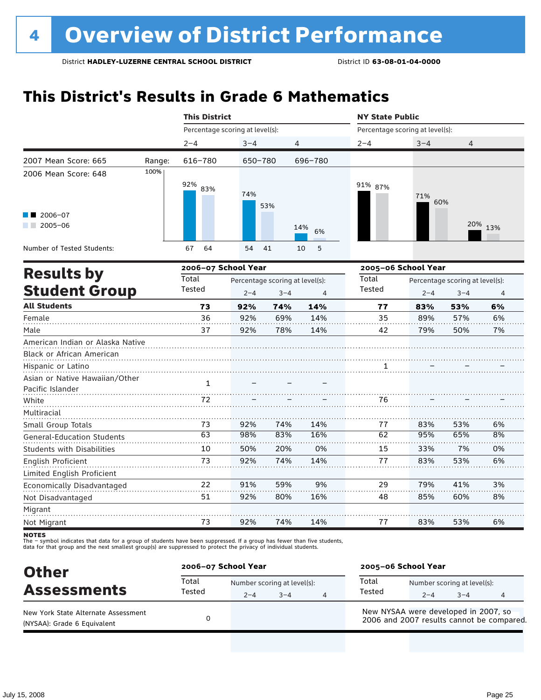# **This District's Results in Grade 6 Mathematics**

|                                   |        | <b>This District</b> |                                 |         |           | <b>NY State Public</b>          |                                 |                                                                           |    |  |
|-----------------------------------|--------|----------------------|---------------------------------|---------|-----------|---------------------------------|---------------------------------|---------------------------------------------------------------------------|----|--|
|                                   |        |                      | Percentage scoring at level(s): |         |           | Percentage scoring at level(s): |                                 |                                                                           |    |  |
|                                   |        | $2 - 4$              | $3 - 4$                         | 4       |           | $2 - 4$                         | $3 - 4$                         | 4                                                                         |    |  |
| 2007 Mean Score: 665              | Range: | 616-780              | 650-780                         |         | 696-780   |                                 |                                 |                                                                           |    |  |
| 2006 Mean Score: 648              | 100%   |                      |                                 |         |           |                                 |                                 |                                                                           |    |  |
|                                   |        | 92%<br>83%           |                                 |         |           | 91% 87%                         |                                 |                                                                           |    |  |
|                                   |        |                      | 74%                             |         |           |                                 | 71%                             |                                                                           |    |  |
|                                   |        |                      |                                 | 53%     |           |                                 |                                 |                                                                           |    |  |
| 2006-07<br>$2005 - 06$            |        |                      |                                 |         |           |                                 |                                 |                                                                           |    |  |
|                                   |        |                      |                                 |         | 14%<br>6% |                                 |                                 |                                                                           |    |  |
| Number of Tested Students:        |        | 64<br>67             | 54                              | 41      | 10<br>5   |                                 |                                 |                                                                           |    |  |
|                                   |        |                      |                                 |         |           |                                 |                                 |                                                                           |    |  |
| <b>Results by</b>                 |        | 2006-07 School Year  |                                 |         |           | 2005-06 School Year             |                                 |                                                                           |    |  |
|                                   |        | Total                | Percentage scoring at level(s): |         |           | Total                           | Percentage scoring at level(s): |                                                                           |    |  |
| <b>Student Group</b>              |        | Tested               | $2 - 4$                         | $3 - 4$ | 4         | Tested                          | $2 - 4$                         | 60%<br>20% 13%<br>$3 - 4$<br>53%<br>57%<br>50%<br>53%<br>65%<br>7%<br>53% | 4  |  |
| <b>All Students</b>               |        | 73                   | 92%                             | 74%     | 14%       | 77                              | 83%                             |                                                                           | 6% |  |
| Female                            |        | 36                   | 92%                             | 69%     | 14%       | 35                              | 89%                             |                                                                           | 6% |  |
| Male                              |        | 37                   | 92%                             | 78%     | 14%       | 42                              | 79%                             |                                                                           | 7% |  |
| American Indian or Alaska Native  |        |                      |                                 |         |           |                                 |                                 |                                                                           |    |  |
| Black or African American         |        |                      |                                 |         |           |                                 |                                 |                                                                           |    |  |
| Hispanic or Latino                |        |                      |                                 |         |           | 1.                              |                                 |                                                                           |    |  |
| Asian or Native Hawaiian/Other    |        | $\mathbf{1}$         |                                 |         |           |                                 |                                 |                                                                           |    |  |
| Pacific Islander                  |        |                      |                                 |         |           |                                 |                                 |                                                                           |    |  |
| White                             |        | 72                   |                                 |         |           | 76                              |                                 |                                                                           |    |  |
| Multiracial                       |        |                      |                                 |         |           |                                 |                                 |                                                                           |    |  |
| Small Group Totals                |        | 73                   | 92%                             | 74%     | 14%       | 77                              | 83%                             |                                                                           | 6% |  |
| <b>General-Education Students</b> |        | $\overline{63}$      | 98%                             | 83%     | 16%       | 62                              | 95%                             |                                                                           | 8% |  |
| <b>Students with Disabilities</b> |        | 10                   | 50%                             | 20%     | 0%        | 15                              | 33%                             |                                                                           | 0% |  |
| <b>English Proficient</b>         |        | 73                   | 92%                             | 74%     | 14%       | 77                              | 83%                             |                                                                           | 6% |  |
| Limited English Proficient        |        |                      |                                 |         |           |                                 |                                 |                                                                           |    |  |

Economically Disadvantaged Not Disadvantaged Migrant Not Migrant 22 51 73 91% 92% 92% 59% 80% 74% 9% 16% 14% 29 48 77

The – symbol indicates that data for a group of students have been suppressed. If a group has fewer than five students,<br>data for that group and the next smallest group(s) are suppressed to protect the privacy of individual

| <b>Other</b>                                                       | 2006-07 School Year |                                        |         | 2005-06 School Year                                                               |                                        |         |   |  |
|--------------------------------------------------------------------|---------------------|----------------------------------------|---------|-----------------------------------------------------------------------------------|----------------------------------------|---------|---|--|
| <b>Assessments</b>                                                 | Total<br>Tested     | Number scoring at level(s):<br>$2 - 4$ | $3 - 4$ | Total<br>Tested                                                                   | Number scoring at level(s):<br>$2 - 4$ | $3 - 4$ | 4 |  |
| New York State Alternate Assessment<br>(NYSAA): Grade 6 Equivalent |                     |                                        |         | New NYSAA were developed in 2007, so<br>2006 and 2007 results cannot be compared. |                                        |         |   |  |

79% 85% 41% 60%

3% 8%

6%

53%

83%

**NOTES**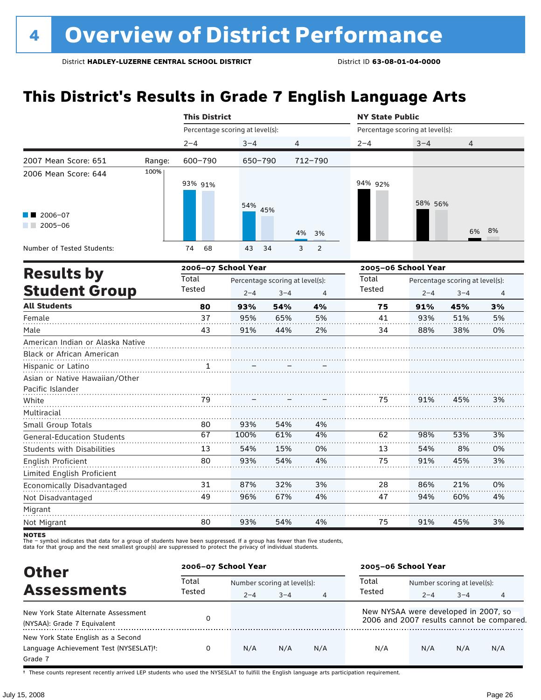# **This District's Results in Grade 7 English Language Arts**

|                                                                               |        | <b>This District</b>            |                                 |         |                     | <b>NY State Public</b>          |                                 |         |    |  |
|-------------------------------------------------------------------------------|--------|---------------------------------|---------------------------------|---------|---------------------|---------------------------------|---------------------------------|---------|----|--|
|                                                                               |        | Percentage scoring at level(s): |                                 |         |                     | Percentage scoring at level(s): |                                 |         |    |  |
|                                                                               |        | $2 - 4$                         | $3 - 4$                         |         | 4                   | $2 - 4$                         | $3 - 4$                         | 4       |    |  |
| 2007 Mean Score: 651                                                          | Range: | 600-790                         | 650-790                         |         | 712-790             |                                 |                                 |         |    |  |
| 2006 Mean Score: 644                                                          | 100%   | 93% 91%                         | 54%                             |         |                     | 94% 92%                         | 58% 56%                         |         |    |  |
| 2006-07<br>$2005 - 06$<br>a sa Ba                                             |        |                                 |                                 | 45%     | 4%<br>3%            |                                 |                                 | 6%      | 8% |  |
| Number of Tested Students:                                                    |        | 68<br>74                        | 43                              | 34      | $\overline{2}$<br>3 |                                 |                                 |         |    |  |
|                                                                               |        | 2006-07 School Year             |                                 |         |                     |                                 | 2005-06 School Year             |         |    |  |
|                                                                               |        | Total                           | Percentage scoring at level(s): |         |                     | Total                           | Percentage scoring at level(s): |         |    |  |
| <b>Results by</b><br><b>Student Group</b><br>American Indian or Alaska Native |        | Tested                          | $2 - 4$                         | $3 - 4$ | 4                   | <b>Tested</b>                   | $2 - 4$                         | $3 - 4$ | 4  |  |
| <b>All Students</b>                                                           |        | 80                              | 93%                             | 54%     | 4%                  | 75                              | 91%                             | 45%     | 3% |  |
| Female                                                                        |        | 37                              | 95%                             | 65%     | 5%                  | 41                              | 93%                             | 51%     | 5% |  |
| Male                                                                          |        | 43                              | 91%                             | 44%     | 2%                  | 34                              | 88%                             | 38%     | 0% |  |
|                                                                               |        |                                 |                                 |         |                     |                                 |                                 |         |    |  |
| Black or African American                                                     |        |                                 |                                 |         |                     |                                 |                                 |         |    |  |
| Hispanic or Latino                                                            |        | 1                               |                                 |         |                     |                                 |                                 |         |    |  |
| Asian or Native Hawaiian/Other                                                |        |                                 |                                 |         |                     |                                 |                                 |         |    |  |
| Pacific Islander                                                              |        |                                 |                                 |         |                     |                                 |                                 |         |    |  |
| White                                                                         |        | 79                              |                                 |         |                     | 75                              | 91%                             | 45%     | 3% |  |
| Multiracial                                                                   |        |                                 |                                 |         |                     |                                 |                                 |         |    |  |
| Small Group Totals                                                            |        | 80                              | 93%                             | 54%     | 4%                  |                                 |                                 |         |    |  |
| <b>General-Education Students</b>                                             |        | 67                              | 100%                            | 61%     | 4%                  | 62                              | 98%                             | 53%     | 3% |  |
| Students with Disabilities                                                    |        | 13                              | 54%                             | 15%     | 0%                  | 13                              | 54%                             | 8%      | 0% |  |
| English Proficient                                                            |        | 80                              | 93%                             | 54%     | 4%                  | 75                              | 91%                             | 45%     | 3% |  |
| Limited English Proficient                                                    |        |                                 |                                 |         |                     |                                 |                                 |         |    |  |
| Economically Disadvantaged                                                    |        | 31                              | 87%                             | 32%     | 3%                  | 28                              | 86%                             | 21%     | 0% |  |
| Not Disadvantaged                                                             |        | 49                              | 96%                             | 67%     | 4%                  | 47                              | 94%                             | 60%     | 4% |  |
| Migrant                                                                       |        |                                 |                                 |         |                     |                                 |                                 |         |    |  |
| Not Migrant                                                                   |        | 80                              | 93%                             | 54%     | 4%                  | 75                              | 91%                             | 45%     | 3% |  |

**NOTES** 

The – symbol indicates that data for a group of students have been suppressed. If a group has fewer than five students,<br>data for that group and the next smallest group(s) are suppressed to protect the privacy of individual

| <b>Other</b>                                                                                         | 2006-07 School Year |                             |         | 2005-06 School Year |                                      |                             |         |                                           |  |
|------------------------------------------------------------------------------------------------------|---------------------|-----------------------------|---------|---------------------|--------------------------------------|-----------------------------|---------|-------------------------------------------|--|
|                                                                                                      | Total<br>Tested     | Number scoring at level(s): |         |                     | Total                                | Number scoring at level(s): |         |                                           |  |
| <b>Assessments</b>                                                                                   |                     | $2 - 4$                     | $3 - 4$ | 4                   | Tested                               | $2 - 4$                     | $3 - 4$ | 4                                         |  |
| New York State Alternate Assessment<br>(NYSAA): Grade 7 Equivalent                                   | 0                   |                             |         |                     | New NYSAA were developed in 2007, so |                             |         | 2006 and 2007 results cannot be compared. |  |
| New York State English as a Second<br>Language Achievement Test (NYSESLAT) <sup>+</sup> :<br>Grade 7 |                     | N/A                         | N/A     | N/A                 | N/A                                  | N/A                         | N/A     | N/A                                       |  |

† These counts represent recently arrived LEP students who used the NYSESLAT to fulfill the English language arts participation requirement.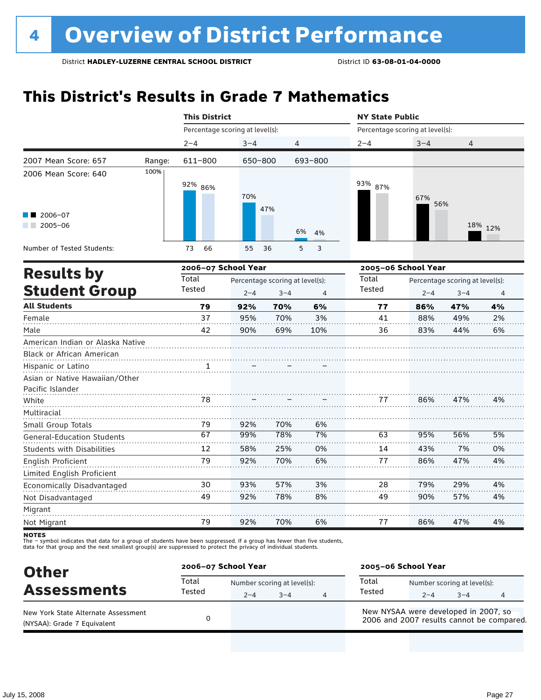# **This District's Results in Grade 7 Mathematics**

|                                   |        | <b>This District</b>            |                                 |         |                |         |                     | <b>NY State Public</b>                                                                                                                                                                                                                                         |                |  |  |  |
|-----------------------------------|--------|---------------------------------|---------------------------------|---------|----------------|---------|---------------------|----------------------------------------------------------------------------------------------------------------------------------------------------------------------------------------------------------------------------------------------------------------|----------------|--|--|--|
|                                   |        | Percentage scoring at level(s): |                                 |         |                |         |                     | Percentage scoring at level(s):<br>$3 - 4$<br>4<br>67%<br>56%<br>18% 12%<br>Percentage scoring at level(s):<br>$2 - 4$<br>$3 - 4$<br>86%<br>47%<br>88%<br>49%<br>83%<br>44%<br>86%<br>47%<br>95%<br>56%<br>43%<br>7%<br>86%<br>47%<br>79%<br>29%<br>57%<br>90% |                |  |  |  |
|                                   |        | $2 - 4$                         | $3 - 4$                         |         | 4              | $2 - 4$ |                     |                                                                                                                                                                                                                                                                |                |  |  |  |
| 2007 Mean Score: 657              | Range: | 611-800                         | 650-800                         |         | 693-800        |         |                     |                                                                                                                                                                                                                                                                |                |  |  |  |
| 2006 Mean Score: 640              | 100%   |                                 |                                 |         |                |         |                     |                                                                                                                                                                                                                                                                |                |  |  |  |
|                                   |        | 92% 86%                         |                                 |         |                | 93% 87% |                     |                                                                                                                                                                                                                                                                |                |  |  |  |
|                                   |        |                                 | 70%                             |         |                |         |                     |                                                                                                                                                                                                                                                                |                |  |  |  |
| 2006-07                           |        |                                 |                                 | 47%     |                |         |                     |                                                                                                                                                                                                                                                                |                |  |  |  |
| $2005 - 06$                       |        |                                 |                                 |         |                |         |                     |                                                                                                                                                                                                                                                                |                |  |  |  |
|                                   |        |                                 |                                 |         | 6%<br>4%       |         |                     |                                                                                                                                                                                                                                                                |                |  |  |  |
| Number of Tested Students:        |        | 73<br>66                        | 55                              | 36      | 5<br>3         |         |                     |                                                                                                                                                                                                                                                                |                |  |  |  |
|                                   |        | 2006-07 School Year             |                                 |         |                |         | 2005-06 School Year |                                                                                                                                                                                                                                                                |                |  |  |  |
| <b>Results by</b>                 |        | Total                           | Percentage scoring at level(s): |         |                | Total   |                     |                                                                                                                                                                                                                                                                |                |  |  |  |
| <b>Student Group</b>              |        | Tested                          | $2 - 4$                         | $3 - 4$ | $\overline{4}$ | Tested  |                     |                                                                                                                                                                                                                                                                | $\overline{4}$ |  |  |  |
| <b>All Students</b>               |        | 79                              | 92%                             | 70%     | 6%             | 77      |                     |                                                                                                                                                                                                                                                                | 4%             |  |  |  |
| Female                            |        | 37                              | 95%                             | 70%     | 3%             | 41      |                     |                                                                                                                                                                                                                                                                | 2%             |  |  |  |
| Male                              |        | 42                              | 90%                             | 69%     | 10%            | 36      |                     |                                                                                                                                                                                                                                                                | 6%             |  |  |  |
| American Indian or Alaska Native  |        |                                 |                                 |         |                |         |                     |                                                                                                                                                                                                                                                                |                |  |  |  |
| Black or African American         |        |                                 |                                 |         |                |         |                     |                                                                                                                                                                                                                                                                |                |  |  |  |
| Hispanic or Latino                |        |                                 |                                 |         |                |         |                     |                                                                                                                                                                                                                                                                |                |  |  |  |
| Asian or Native Hawaiian/Other    |        |                                 |                                 |         |                |         |                     |                                                                                                                                                                                                                                                                |                |  |  |  |
| Pacific Islander                  |        |                                 |                                 |         |                |         |                     |                                                                                                                                                                                                                                                                |                |  |  |  |
| White                             |        | 78                              |                                 |         |                | 77      |                     |                                                                                                                                                                                                                                                                | 4%             |  |  |  |
| Multiracial                       |        |                                 |                                 |         |                |         |                     |                                                                                                                                                                                                                                                                |                |  |  |  |
| Small Group Totals                |        | 79                              | 92%                             | 70%     | 6%             |         |                     |                                                                                                                                                                                                                                                                |                |  |  |  |
| <b>General-Education Students</b> |        | 67                              | 99%                             | 78%     | 7%             | 63      |                     |                                                                                                                                                                                                                                                                | 5%             |  |  |  |
| <b>Students with Disabilities</b> |        | 12                              | 58%                             | 25%     | 0%             | 14      |                     |                                                                                                                                                                                                                                                                | 0%             |  |  |  |
| English Proficient                |        | 79                              | 92%                             | 70%     | 6%             | 77      |                     |                                                                                                                                                                                                                                                                | 4%             |  |  |  |
| Limited English Proficient        |        |                                 |                                 |         |                |         |                     |                                                                                                                                                                                                                                                                |                |  |  |  |
| Economically Disadvantaged        |        | 30                              | 93%                             | 57%     | 3%             | 28      |                     |                                                                                                                                                                                                                                                                | 4%             |  |  |  |
| Not Disadvantaged                 |        | 49                              | 92%                             | 78%     | 8%             | 49      |                     |                                                                                                                                                                                                                                                                | 4%             |  |  |  |
| Migrant                           |        |                                 |                                 |         |                |         |                     |                                                                                                                                                                                                                                                                |                |  |  |  |
| Not Migrant                       |        | 79                              | 92%                             | 70%     | 6%             | 77      | 86%                 | 47%                                                                                                                                                                                                                                                            | 4%             |  |  |  |

**NOTES** 

The – symbol indicates that data for a group of students have been suppressed. If a group has fewer than five students,<br>data for that group and the next smallest group(s) are suppressed to protect the privacy of individual

| <b>Other</b>                                                       |                 | 2006-07 School Year |                                        |   |                                                                                   | 2005-06 School Year |                                        |   |  |  |
|--------------------------------------------------------------------|-----------------|---------------------|----------------------------------------|---|-----------------------------------------------------------------------------------|---------------------|----------------------------------------|---|--|--|
| <b>Assessments</b>                                                 | Total<br>Tested | $2 - 4$             | Number scoring at level(s):<br>$3 - 4$ | 4 | Total<br>Tested                                                                   | $2 - 4$             | Number scoring at level(s):<br>$3 - 4$ | 4 |  |  |
| New York State Alternate Assessment<br>(NYSAA): Grade 7 Equivalent |                 |                     |                                        |   | New NYSAA were developed in 2007, so<br>2006 and 2007 results cannot be compared. |                     |                                        |   |  |  |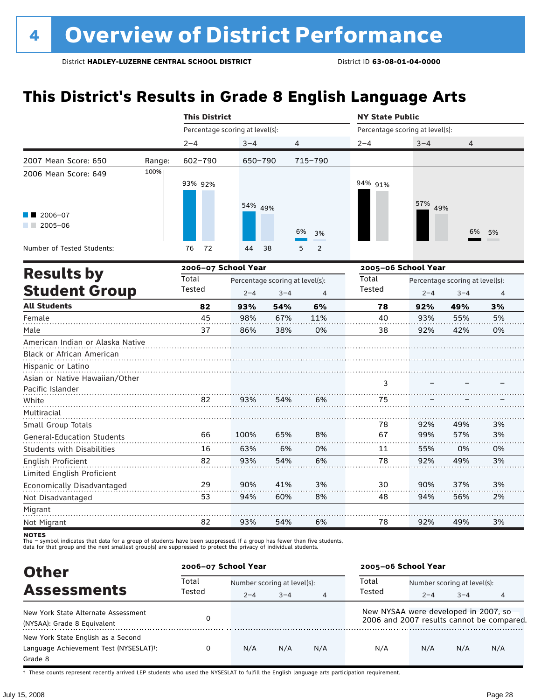# **This District's Results in Grade 8 English Language Arts**

|                                                                                     |        | <b>This District</b>            |         |                                            |                     | <b>NY State Public</b>          |                     |                                                                                                                                                                           |                |  |
|-------------------------------------------------------------------------------------|--------|---------------------------------|---------|--------------------------------------------|---------------------|---------------------------------|---------------------|---------------------------------------------------------------------------------------------------------------------------------------------------------------------------|----------------|--|
|                                                                                     |        | Percentage scoring at level(s): |         |                                            |                     | Percentage scoring at level(s): |                     | $3 - 4$<br>4<br>57% 49%<br>6%<br>Percentage scoring at level(s):<br>$2 - 4$<br>$3 - 4$<br>92%<br>49%<br>93%<br>55%<br>92%<br>42%<br>92%<br>49%<br>99%<br>57%<br>55%<br>0% |                |  |
|                                                                                     |        | $2 - 4$                         | $3 - 4$ | 4                                          |                     | $2 - 4$                         |                     |                                                                                                                                                                           |                |  |
| 2007 Mean Score: 650                                                                | Range: | 602-790                         | 650-790 |                                            | 715-790             |                                 |                     |                                                                                                                                                                           |                |  |
| 2006 Mean Score: 649                                                                | 100%   | 93% 92%                         |         |                                            |                     | 94% 91%                         |                     |                                                                                                                                                                           |                |  |
| $\blacksquare$ 2006-07<br>$2005 - 06$                                               |        |                                 | 54% 49% |                                            | 6%<br>3%            |                                 |                     |                                                                                                                                                                           | 5%             |  |
| Number of Tested Students:                                                          |        | 72<br>76                        | 44      | 38                                         | 5<br>$\overline{2}$ |                                 |                     |                                                                                                                                                                           |                |  |
|                                                                                     |        | 2006-07 School Year             |         |                                            |                     |                                 | 2005-06 School Year |                                                                                                                                                                           |                |  |
| <b>Results by</b><br><b>Student Group</b>                                           |        | Total<br>Tested                 | $2 - 4$ | Percentage scoring at level(s):<br>$3 - 4$ | $\overline{4}$      | Total<br>Tested                 |                     |                                                                                                                                                                           | $\overline{4}$ |  |
| <b>All Students</b>                                                                 |        | 82                              | 93%     | 54%                                        | 6%                  | 78                              |                     |                                                                                                                                                                           | 3%             |  |
| Female                                                                              |        | 45                              | 98%     | 67%                                        | 11%                 | 40                              |                     |                                                                                                                                                                           | 5%             |  |
| Male                                                                                |        | 37                              | 86%     | 38%                                        | 0%                  | 38                              |                     |                                                                                                                                                                           | 0%             |  |
| American Indian or Alaska Native<br>Black or African American<br>Hispanic or Latino |        |                                 |         |                                            |                     |                                 |                     |                                                                                                                                                                           |                |  |
| Asian or Native Hawaiian/Other<br>Pacific Islander                                  |        |                                 |         |                                            |                     | 3                               |                     |                                                                                                                                                                           |                |  |
| White                                                                               |        | 82                              | 93%     | 54%                                        | 6%                  | 75                              |                     |                                                                                                                                                                           |                |  |
| Multiracial<br>Small Group Totals                                                   |        |                                 |         |                                            |                     | 78                              |                     |                                                                                                                                                                           | 3%             |  |
| <b>General-Education Students</b>                                                   |        | 66                              | 100%    | 65%                                        | 8%                  | 67                              |                     |                                                                                                                                                                           | 3%             |  |
| <b>Students with Disabilities</b>                                                   |        | 16                              | 63%     | 6%                                         | 0%                  | 11                              |                     |                                                                                                                                                                           | 0%             |  |
| English Proficient                                                                  |        | 82                              | 93%     | 54%                                        | 6%                  | 78                              | 92%                 | 49%                                                                                                                                                                       | 3%             |  |
| Limited English Proficient                                                          |        |                                 |         |                                            |                     |                                 |                     |                                                                                                                                                                           |                |  |
| Economically Disadvantaged                                                          |        | 29                              | 90%     | 41%                                        | 3%                  | 30                              | 90%                 | 37%                                                                                                                                                                       | 3%             |  |
| Not Disadvantaged                                                                   |        | 53                              | 94%     | 60%                                        | 8%                  | 48                              | 94%                 | 56%                                                                                                                                                                       | 2%             |  |
| Migrant                                                                             |        |                                 |         |                                            |                     |                                 |                     |                                                                                                                                                                           |                |  |
| Not Migrant                                                                         |        | 82                              | 93%     | 54%                                        | 6%                  | 78                              | 92%                 | 49%                                                                                                                                                                       | 3%             |  |

**NOTES** 

The – symbol indicates that data for a group of students have been suppressed. If a group has fewer than five students,<br>data for that group and the next smallest group(s) are suppressed to protect the privacy of individual

| <b>Other</b>                                        | 2006-07 School Year |                             |         | 2005-06 School Year |                                      |                             |         |                                           |
|-----------------------------------------------------|---------------------|-----------------------------|---------|---------------------|--------------------------------------|-----------------------------|---------|-------------------------------------------|
|                                                     | Total<br>Tested     | Number scoring at level(s): |         |                     | Total                                | Number scoring at level(s): |         |                                           |
| <b>Assessments</b>                                  |                     | $2 - 4$                     | $3 - 4$ | 4                   | Tested                               | $2 - 4$                     | $3 - 4$ | 4                                         |
| New York State Alternate Assessment                 |                     |                             |         |                     | New NYSAA were developed in 2007, so |                             |         |                                           |
| (NYSAA): Grade 8 Equivalent                         |                     |                             |         |                     |                                      |                             |         | 2006 and 2007 results cannot be compared. |
| New York State English as a Second                  |                     |                             |         |                     |                                      |                             |         |                                           |
| Language Achievement Test (NYSESLAT) <sup>+</sup> : |                     | N/A                         | N/A     | N/A                 | N/A                                  | N/A                         | N/A     | N/A                                       |
| Grade 8                                             |                     |                             |         |                     |                                      |                             |         |                                           |

† These counts represent recently arrived LEP students who used the NYSESLAT to fulfill the English language arts participation requirement.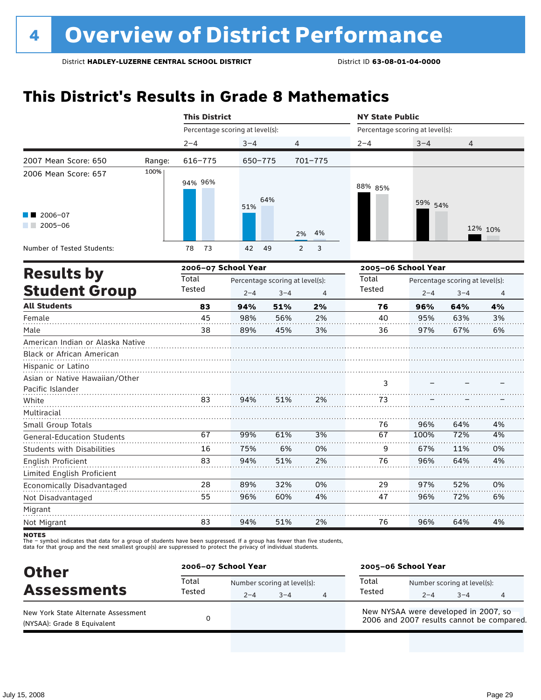# **This District's Results in Grade 8 Mathematics**

|                                                               |        | <b>This District</b>            |             |                                 |                     | <b>NY State Public</b>          |                                 |         |                |  |  |
|---------------------------------------------------------------|--------|---------------------------------|-------------|---------------------------------|---------------------|---------------------------------|---------------------------------|---------|----------------|--|--|
|                                                               |        | Percentage scoring at level(s): |             |                                 |                     | Percentage scoring at level(s): |                                 |         |                |  |  |
|                                                               |        | $2 - 4$                         | $3 - 4$     |                                 | 4                   | $2 - 4$                         | $3 - 4$                         | 4       |                |  |  |
| 2007 Mean Score: 650                                          | Range: | 616-775                         | $650 - 775$ |                                 | $701 - 775$         |                                 |                                 |         |                |  |  |
| 2006 Mean Score: 657                                          | 100%   | 94% 96%                         | 51%         | 64%                             |                     | 88% 85%                         | 59% 54%                         |         |                |  |  |
| $\blacksquare$ 2006-07<br>$\blacksquare$ 2005-06              |        |                                 |             |                                 | 4%<br>2%            |                                 |                                 |         | 12% 10%        |  |  |
| Number of Tested Students:                                    |        | 73<br>78                        | 42          | 49                              | $\overline{2}$<br>3 |                                 |                                 |         |                |  |  |
|                                                               |        | 2006-07 School Year             |             |                                 |                     |                                 | 2005-06 School Year             |         |                |  |  |
| <b>Results by</b>                                             |        | Total                           |             | Percentage scoring at level(s): |                     |                                 | Percentage scoring at level(s): |         |                |  |  |
| <b>Student Group</b>                                          |        | Tested                          | $2 - 4$     | $3 - 4$                         | 4                   | Tested                          | $2 - 4$                         | $3 - 4$ | $\overline{4}$ |  |  |
| <b>All Students</b>                                           |        | 83                              | 94%         | 51%                             | 2%                  | 76                              | 96%                             | 64%     | 4%             |  |  |
| Female                                                        |        | 45                              | 98%         | 56%                             | 2%                  | 40                              | 95%                             | 63%     | 3%             |  |  |
| Male                                                          |        | 38                              | 89%         | 45%                             | 3%                  | 36                              | 97%                             | 67%     | 6%             |  |  |
| American Indian or Alaska Native<br>Black or African American |        |                                 |             |                                 |                     |                                 |                                 |         |                |  |  |
| Hispanic or Latino                                            |        |                                 |             |                                 |                     |                                 |                                 |         |                |  |  |
| Asian or Native Hawaiian/Other                                |        |                                 |             |                                 |                     | 3                               |                                 |         |                |  |  |
| Pacific Islander                                              |        |                                 |             |                                 |                     |                                 |                                 |         |                |  |  |
| White                                                         |        | 83                              | 94%         | 51%                             | 2%                  | 73                              |                                 |         |                |  |  |
| Multiracial                                                   |        |                                 |             |                                 |                     |                                 |                                 |         |                |  |  |
| Small Group Totals                                            |        |                                 |             |                                 |                     | 76                              | 96%                             | 64%     | 4%             |  |  |
| General-Education Students                                    |        | 67                              | 99%         | 61%                             | 3%                  | 67                              | 100%                            | 72%     | 4%             |  |  |
| Students with Disabilities                                    |        | 16                              | 75%         | 6%                              | 0%                  | 9                               | 67%                             | 11%     | 0%             |  |  |
| <b>English Proficient</b>                                     |        | 83                              | 94%         | 51%                             | 2%                  | 76                              | 96%                             | 64%     | 4%             |  |  |
| Limited English Proficient                                    |        |                                 |             |                                 |                     |                                 |                                 |         |                |  |  |
| Economically Disadvantaged                                    |        | 28                              | 89%         | 32%                             | 0%                  | 29                              | 97%                             | 52%     | 0%             |  |  |
| Not Disadvantaged                                             |        | 55                              | 96%         | 60%                             | 4%                  | 47                              | 96%                             | 72%     | 6%             |  |  |
| Migrant                                                       |        |                                 |             |                                 |                     |                                 |                                 |         |                |  |  |
| Not Migrant                                                   |        | 83                              | 94%         | 51%                             | 2%                  | 76                              | 96%                             | 64%     | 4%             |  |  |

**NOTES** 

The – symbol indicates that data for a group of students have been suppressed. If a group has fewer than five students,<br>data for that group and the next smallest group(s) are suppressed to protect the privacy of individual

| <b>Other</b>                                                       |                 | 2006-07 School Year |                                        |   |                 | 2005-06 School Year                                                               |                                        |   |  |  |
|--------------------------------------------------------------------|-----------------|---------------------|----------------------------------------|---|-----------------|-----------------------------------------------------------------------------------|----------------------------------------|---|--|--|
| <b>Assessments</b>                                                 | Total<br>Tested | $2 - 4$             | Number scoring at level(s):<br>$3 - 4$ | 4 | Total<br>Tested | $2 - 4$                                                                           | Number scoring at level(s):<br>$3 - 4$ | 4 |  |  |
| New York State Alternate Assessment<br>(NYSAA): Grade 8 Equivalent |                 |                     |                                        |   |                 | New NYSAA were developed in 2007, so<br>2006 and 2007 results cannot be compared. |                                        |   |  |  |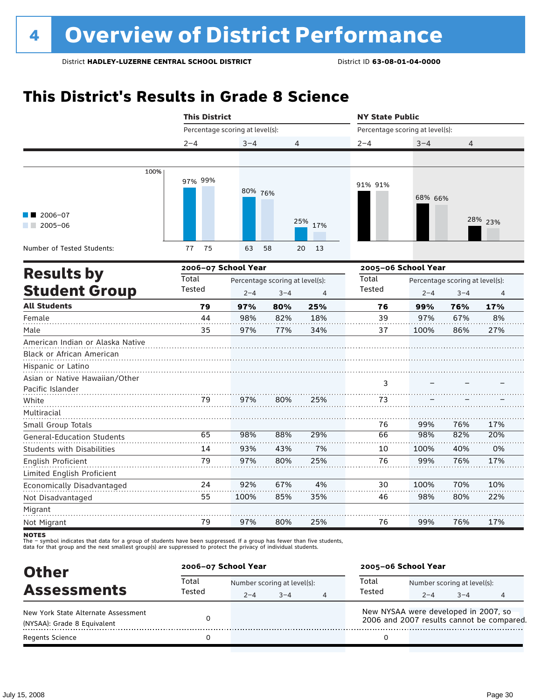# **This District's Results in Grade 8 Science**

|                                                                                            | <b>This District</b> |                                                                                                          |                                 |                | <b>NY State Public</b> |                                 |                                 |                |  |
|--------------------------------------------------------------------------------------------|----------------------|----------------------------------------------------------------------------------------------------------|---------------------------------|----------------|------------------------|---------------------------------|---------------------------------|----------------|--|
|                                                                                            |                      | Percentage scoring at level(s):<br>$3 - 4$<br>4<br>$2 - 4$<br>80% 76%<br>25% 17%<br>13<br>63<br>58<br>20 |                                 |                |                        | Percentage scoring at level(s): |                                 |                |  |
|                                                                                            | $2 - 4$              |                                                                                                          |                                 |                |                        | $3 - 4$                         | 4                               |                |  |
|                                                                                            |                      |                                                                                                          |                                 |                |                        |                                 |                                 |                |  |
| 100%                                                                                       | 97% 99%              |                                                                                                          |                                 |                | 91% 91%                | 68% 66%                         |                                 |                |  |
| 2006-07<br>$2005 - 06$                                                                     |                      |                                                                                                          |                                 |                |                        |                                 |                                 | 28% 23%        |  |
| Number of Tested Students:                                                                 | 75<br>77             |                                                                                                          |                                 |                |                        |                                 |                                 |                |  |
|                                                                                            |                      | 2006-07 School Year                                                                                      |                                 |                |                        | 2005-06 School Year             |                                 |                |  |
| <b>Results by</b>                                                                          | Total                |                                                                                                          | Percentage scoring at level(s): |                | Total                  |                                 | Percentage scoring at level(s): |                |  |
| <b>Student Group</b>                                                                       | Tested               | $2 - 4$                                                                                                  | $3 - 4$                         | $\overline{4}$ | <b>Tested</b>          | $2 - 4$                         | $3 - 4$                         | $\overline{4}$ |  |
| <b>All Students</b>                                                                        | 79                   | 97%                                                                                                      | 80%                             | 25%            | 76                     | 99%                             | 76%                             | 17%            |  |
| Female                                                                                     | 44                   | 98%                                                                                                      | 82%                             | 18%            | 39                     | 97%                             | 67%                             | 8%             |  |
| Male                                                                                       | 35                   | 97%                                                                                                      | 77%                             | 34%            | 37                     | 100%                            | 86%                             | 27%            |  |
| American Indian or Alaska Native<br><b>Black or African American</b><br>Hispanic or Latino |                      |                                                                                                          |                                 |                |                        |                                 |                                 |                |  |
| Asian or Native Hawaiian/Other                                                             |                      |                                                                                                          |                                 |                | 3                      |                                 |                                 |                |  |
| Pacific Islander<br>White                                                                  | 79                   | 97%                                                                                                      | 80%                             | 25%            | 73                     |                                 |                                 |                |  |
| Multiracial<br>Small Group Totals                                                          |                      |                                                                                                          |                                 |                | 76                     | 99%                             | 76%                             | 17%            |  |
| <b>General-Education Students</b>                                                          | 65                   | 98%                                                                                                      | 88%                             | 29%            | 66                     | 98%                             | 82%                             | 20%            |  |
| <b>Students with Disabilities</b>                                                          | 14                   | 93%                                                                                                      | 43%                             | 7%             | 10                     | 100%                            | 40%                             | 0%             |  |
| English Proficient                                                                         | 79                   | 97%                                                                                                      | 80%                             | 25%            | 76                     | 99%                             | 76%                             | 17%            |  |
| Limited English Proficient                                                                 |                      |                                                                                                          |                                 |                |                        |                                 |                                 |                |  |
| Economically Disadvantaged                                                                 | 24                   | 92%                                                                                                      | 67%                             | 4%             | 30                     | 100%                            | 70%                             | 10%            |  |
| Not Disadvantaged                                                                          | 55                   | 100%                                                                                                     | 85%                             | 35%            | 46                     | 98%                             | 80%                             | 22%            |  |
| Migrant                                                                                    |                      |                                                                                                          |                                 |                |                        |                                 |                                 |                |  |
| Not Migrant                                                                                | 79                   | 97%                                                                                                      | 80%                             | 25%            | 76                     | 99%                             | 76%                             | 17%            |  |

**NOTES** 

The – symbol indicates that data for a group of students have been suppressed. If a group has fewer than five students,<br>data for that group and the next smallest group(s) are suppressed to protect the privacy of individual

| <b>Other</b>                                                       |                 | 2006-07 School Year                            |  |   | 2005-06 School Year                                                               |                                                |  |   |  |
|--------------------------------------------------------------------|-----------------|------------------------------------------------|--|---|-----------------------------------------------------------------------------------|------------------------------------------------|--|---|--|
| <b>Assessments</b>                                                 | Total<br>Tested | Number scoring at level(s):<br>$-4$<br>$2 - 4$ |  |   | Total<br>Tested                                                                   | Number scoring at level(s):<br>$2 - 4$<br>$-4$ |  |   |  |
| New York State Alternate Assessment<br>(NYSAA): Grade 8 Equivalent |                 |                                                |  | 4 | New NYSAA were developed in 2007, so<br>2006 and 2007 results cannot be compared. |                                                |  | 4 |  |
| <b>Regents Science</b>                                             |                 |                                                |  |   |                                                                                   |                                                |  |   |  |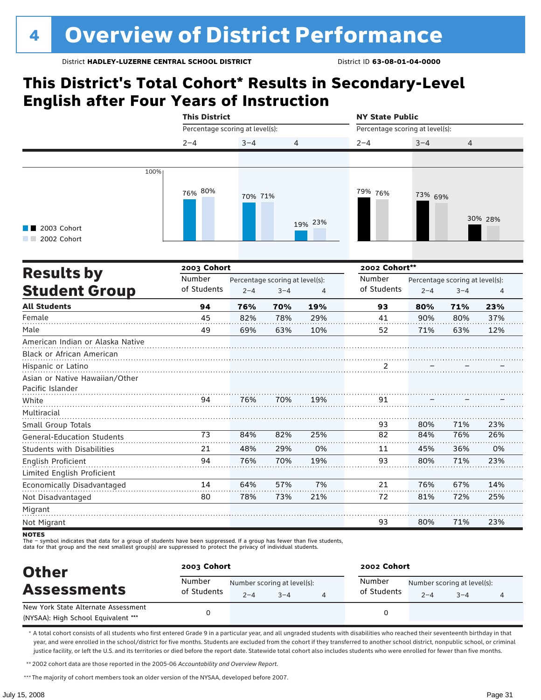# **This District's Total Cohort\* Results in Secondary-Level English after Four Years of Instruction**

|                                   | <b>This District</b>            |                                 |         |         | <b>NY State Public</b>          |         |                                 |            |  |
|-----------------------------------|---------------------------------|---------------------------------|---------|---------|---------------------------------|---------|---------------------------------|------------|--|
|                                   | Percentage scoring at level(s): |                                 |         |         | Percentage scoring at level(s): |         |                                 |            |  |
|                                   | $2 - 4$                         | $3 - 4$                         | 4       |         | $2 - 4$                         | $3 - 4$ | $\overline{4}$                  |            |  |
|                                   |                                 |                                 |         |         |                                 |         |                                 |            |  |
| 100%                              |                                 |                                 |         |         |                                 |         |                                 |            |  |
|                                   |                                 |                                 |         |         |                                 |         |                                 |            |  |
|                                   | 76% 80%                         | 70% 71%                         |         |         | 79% 76%                         | 73% 69% |                                 |            |  |
|                                   |                                 |                                 |         |         |                                 |         |                                 |            |  |
|                                   |                                 |                                 |         | 19% 23% |                                 |         |                                 | 30% 28%    |  |
| 2003 Cohort                       |                                 |                                 |         |         |                                 |         |                                 |            |  |
| 2002 Cohort                       |                                 |                                 |         |         |                                 |         |                                 |            |  |
|                                   |                                 |                                 |         |         |                                 |         |                                 |            |  |
| <b>Results by</b>                 | 2003 Cohort                     |                                 |         |         | 2002 Cohort**                   |         |                                 |            |  |
|                                   | Number                          | Percentage scoring at level(s): |         |         | Number<br>of Students           |         | Percentage scoring at level(s): |            |  |
| <b>Student Group</b>              | of Students                     | $2 - 4$                         | $3 - 4$ | 4       |                                 | $2 - 4$ | $3 - 4$                         | 4          |  |
| <b>All Students</b>               | 94                              | 76%                             | 70%     | 19%     | 93                              | 80%     | 71%                             | 23%        |  |
| Female                            | 45                              | 82%                             | 78%     | 29%     | 41                              | 90%     | 80%                             | 37%        |  |
| Male                              | 49                              | 69%                             | 63%     | 10%     | 52                              | 71%     | 63%                             | 12%        |  |
| American Indian or Alaska Native  |                                 |                                 |         |         |                                 |         |                                 |            |  |
| Black or African American         |                                 |                                 |         |         |                                 |         |                                 |            |  |
| Hispanic or Latino                |                                 |                                 |         |         | 2                               |         |                                 |            |  |
| Asian or Native Hawaiian/Other    |                                 |                                 |         |         |                                 |         |                                 |            |  |
| Pacific Islander                  |                                 |                                 |         |         |                                 |         |                                 |            |  |
| White                             | 94                              | 76%                             | 70%     | 19%     | 91                              |         |                                 |            |  |
| Multiracial                       |                                 |                                 |         |         |                                 |         |                                 |            |  |
| Small Group Totals                | 73                              | 84%                             | 82%     | 25%     | 93<br>82                        | 80%     | 71%<br>76%                      | 23%<br>26% |  |
| <b>General-Education Students</b> |                                 |                                 |         |         |                                 | 84%     |                                 |            |  |
| <b>Students with Disabilities</b> | 21                              | 48%                             | 29%     | 0%      | 11                              | 45%     | 36%                             | 0%         |  |
| English Proficient                | 94                              | 76%                             | 70%     | 19%     | 93                              | 80%     | 71%                             | 23%        |  |
| Limited English Proficient        |                                 |                                 |         |         |                                 |         |                                 |            |  |
| Economically Disadvantaged        | 14                              | 64%                             | 57%     | 7%      | 21                              | 76%     | 67%                             | 14%        |  |
| Not Disadvantaged                 | 80                              | 78%                             | 73%     | 21%     | 72                              | 81%     | 72%                             | 25%        |  |
| Migrant                           |                                 |                                 |         |         |                                 |         |                                 |            |  |
| Not Migrant                       |                                 |                                 |         |         | 93                              | 80%     | 71%                             | 23%        |  |
|                                   |                                 |                                 |         |         |                                 |         |                                 |            |  |

NOTES<br>The – symbol indicates that data for a group of students have been suppressed. If a group has fewer than five students,<br>data for that group and the next smallest group(s) are suppressed to protect the privacy of indi

| <b>Other</b>                                                               | 2003 Cohort           |         |                                        | 2002 Cohort           |                                        |         |  |  |  |
|----------------------------------------------------------------------------|-----------------------|---------|----------------------------------------|-----------------------|----------------------------------------|---------|--|--|--|
| <b>Assessments</b>                                                         | Number<br>of Students | $2 - 4$ | Number scoring at level(s):<br>$3 - 4$ | Number<br>of Students | Number scoring at level(s):<br>$2 - 4$ | $3 - 4$ |  |  |  |
| New York State Alternate Assessment<br>(NYSAA): High School Equivalent *** |                       |         |                                        |                       |                                        |         |  |  |  |

\* A total cohort consists of all students who first entered Grade 9 in a particular year, and all ungraded students with disabilities who reached their seventeenth birthday in that year, and were enrolled in the school/district for five months. Students are excluded from the cohort if they transferred to another school district, nonpublic school, or criminal justice facility, or left the U.S. and its territories or died before the report date. Statewide total cohort also includes students who were enrolled for fewer than five months.

\*\*2002 cohort data are those reported in the 2005-06 *Accountability and Overview Report*.

\*\*\* The majority of cohort members took an older version of the NYSAA, developed before 2007.